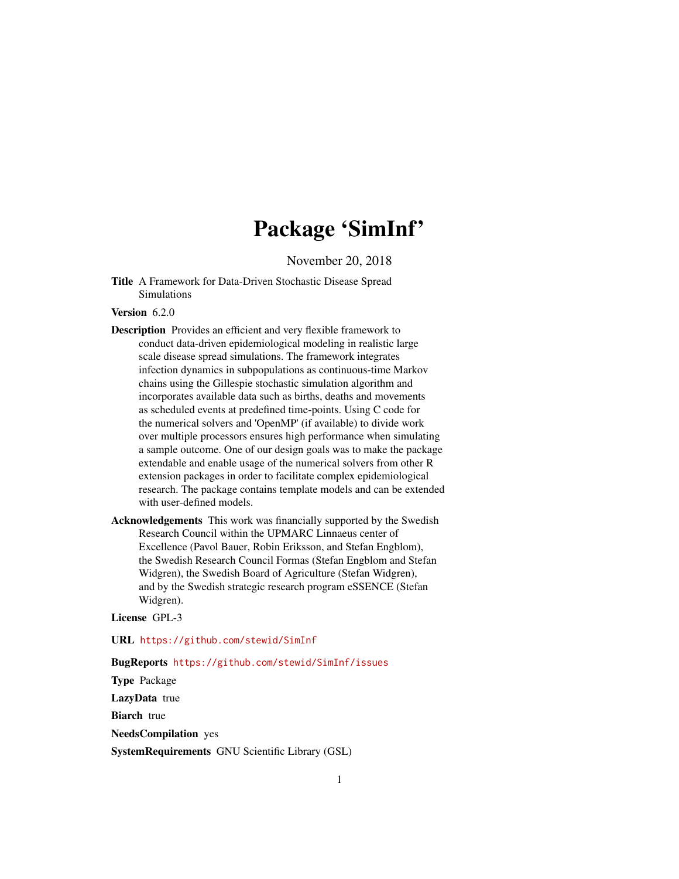# Package 'SimInf'

November 20, 2018

<span id="page-0-0"></span>Title A Framework for Data-Driven Stochastic Disease Spread Simulations

# Version 6.2.0

Description Provides an efficient and very flexible framework to conduct data-driven epidemiological modeling in realistic large scale disease spread simulations. The framework integrates infection dynamics in subpopulations as continuous-time Markov chains using the Gillespie stochastic simulation algorithm and incorporates available data such as births, deaths and movements as scheduled events at predefined time-points. Using C code for the numerical solvers and 'OpenMP' (if available) to divide work over multiple processors ensures high performance when simulating a sample outcome. One of our design goals was to make the package extendable and enable usage of the numerical solvers from other R extension packages in order to facilitate complex epidemiological research. The package contains template models and can be extended with user-defined models.

Acknowledgements This work was financially supported by the Swedish Research Council within the UPMARC Linnaeus center of Excellence (Pavol Bauer, Robin Eriksson, and Stefan Engblom), the Swedish Research Council Formas (Stefan Engblom and Stefan Widgren), the Swedish Board of Agriculture (Stefan Widgren), and by the Swedish strategic research program eSSENCE (Stefan Widgren).

License GPL-3

URL <https://github.com/stewid/SimInf>

# BugReports <https://github.com/stewid/SimInf/issues>

Type Package

LazyData true

**Biarch** true

NeedsCompilation yes

SystemRequirements GNU Scientific Library (GSL)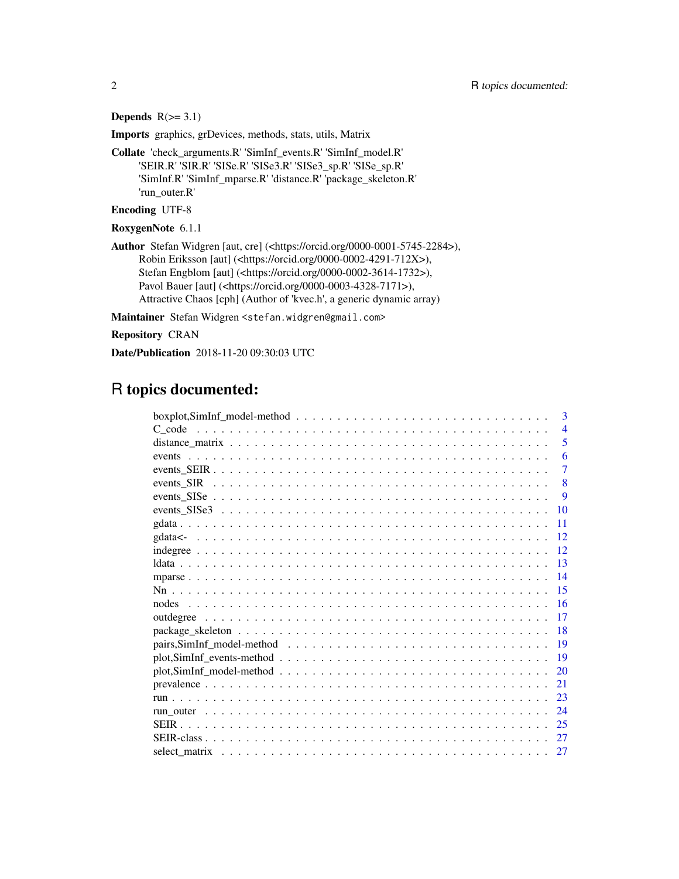# Depends  $R(>= 3.1)$

Imports graphics, grDevices, methods, stats, utils, Matrix

Collate 'check\_arguments.R' 'SimInf\_events.R' 'SimInf\_model.R' 'SEIR.R' 'SIR.R' 'SISe.R' 'SISe3.R' 'SISe3\_sp.R' 'SISe\_sp.R' 'SimInf.R' 'SimInf\_mparse.R' 'distance.R' 'package\_skeleton.R' 'run\_outer.R'

Encoding UTF-8

RoxygenNote 6.1.1

Author Stefan Widgren [aut, cre] (<https://orcid.org/0000-0001-5745-2284>), Robin Eriksson [aut] (<https://orcid.org/0000-0002-4291-712X>), Stefan Engblom [aut] (<https://orcid.org/0000-0002-3614-1732>), Pavol Bauer [aut] (<https://orcid.org/0000-0003-4328-7171>), Attractive Chaos [cph] (Author of 'kvec.h', a generic dynamic array)

Maintainer Stefan Widgren <stefan.widgren@gmail.com>

Repository CRAN

Date/Publication 2018-11-20 09:30:03 UTC

# R topics documented:

| $\mathbf{3}$<br>$boxplot, SimInf\_model-method \dots \dots \dots \dots \dots \dots \dots \dots \dots \dots \dots \dots \dots$ |
|-------------------------------------------------------------------------------------------------------------------------------|
| $\overline{4}$                                                                                                                |
| 5                                                                                                                             |
| 6                                                                                                                             |
| $\overline{7}$                                                                                                                |
| 8                                                                                                                             |
| 9                                                                                                                             |
| 10                                                                                                                            |
| 11                                                                                                                            |
| -12                                                                                                                           |
| 12                                                                                                                            |
| $\overline{13}$                                                                                                               |
| 14                                                                                                                            |
| 15                                                                                                                            |
| -16                                                                                                                           |
| 17                                                                                                                            |
| -18                                                                                                                           |
| 19                                                                                                                            |
| -19                                                                                                                           |
| 20                                                                                                                            |
| 21                                                                                                                            |
| 23                                                                                                                            |
| 24                                                                                                                            |
| 25                                                                                                                            |
| 27                                                                                                                            |
| 27                                                                                                                            |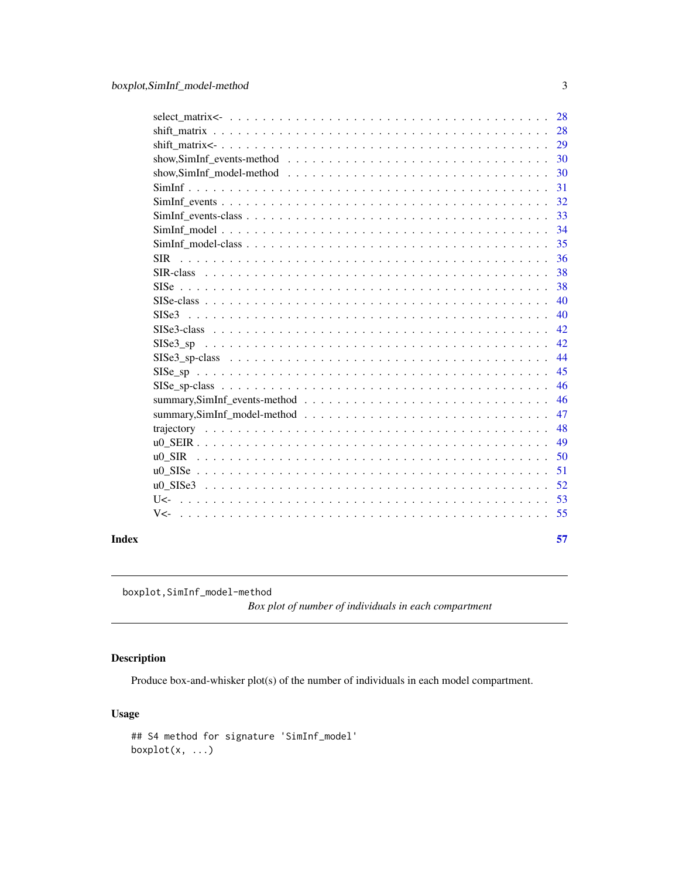<span id="page-2-0"></span>

|       |            | 28  |
|-------|------------|-----|
|       |            |     |
|       |            |     |
|       |            | 30  |
|       |            | 30  |
|       |            | 31  |
|       |            | 32  |
|       |            | 33  |
|       |            | 34  |
|       |            | 35  |
|       | <b>SIR</b> | 36  |
|       |            | 38  |
|       |            | 38  |
|       |            | 40  |
|       | SISe3      | 40  |
|       |            | 42  |
|       |            | 42  |
|       |            | 44  |
|       |            | 45  |
|       |            | 46  |
|       |            | 46  |
|       |            | 47  |
|       |            | 48  |
|       |            | 49  |
|       |            | 50  |
|       |            | 51  |
|       |            | 52  |
|       |            | -53 |
|       |            |     |
|       |            |     |
| Index |            | 57  |

boxplot,SimInf\_model-method

*Box plot of number of individuals in each compartment*

# Description

Produce box-and-whisker plot(s) of the number of individuals in each model compartment.

# Usage

```
## S4 method for signature 'SimInf_model'
boxplot(x, ...)
```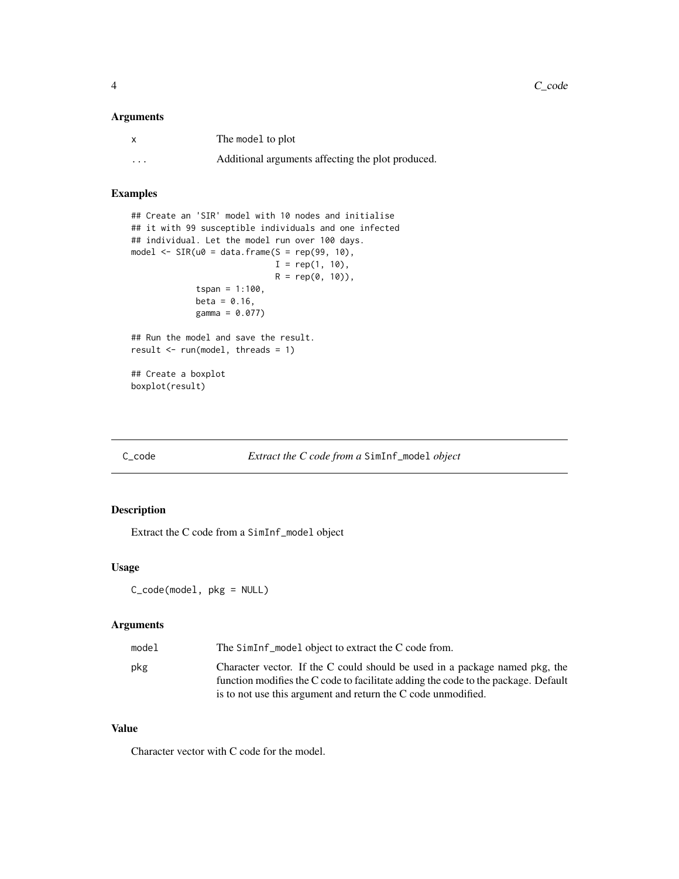# <span id="page-3-0"></span>Arguments

| x        | The model to plot                                 |
|----------|---------------------------------------------------|
| $\cdots$ | Additional arguments affecting the plot produced. |

# Examples

```
## Create an 'SIR' model with 10 nodes and initialise
## it with 99 susceptible individuals and one infected
## individual. Let the model run over 100 days.
model \leq SIR(u0 = data.frame(S = rep(99, 10),
                             I = rep(1, 10),R = rep(0, 10),
             tspan = 1:100,beta = 0.16,
             gamma = 0.077)
## Run the model and save the result.
result \leq run(model, threads = 1)
## Create a boxplot
boxplot(result)
```
C\_code *Extract the C code from a* SimInf\_model *object*

# Description

Extract the C code from a SimInf\_model object

# Usage

```
C_code(model, pkg = NULL)
```
# Arguments

| model | The SimInf model object to extract the C code from.                                                                                                                                                                                |
|-------|------------------------------------------------------------------------------------------------------------------------------------------------------------------------------------------------------------------------------------|
| pkg   | Character vector. If the C could should be used in a package named pkg, the<br>function modifies the C code to facilitate adding the code to the package. Default<br>is to not use this argument and return the C code unmodified. |

# Value

Character vector with C code for the model.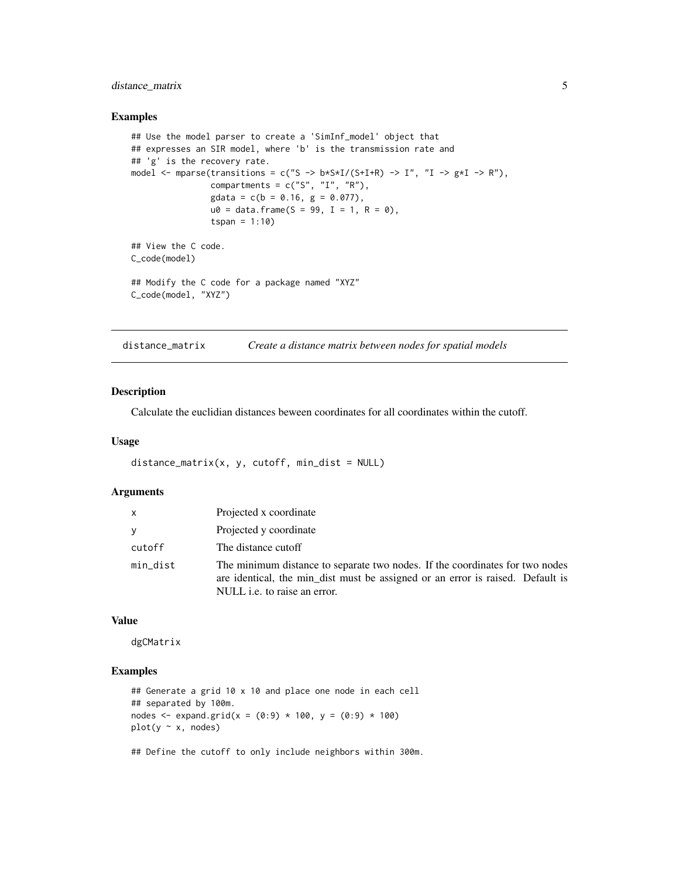# <span id="page-4-0"></span>distance\_matrix 5

#### Examples

```
## Use the model parser to create a 'SimInf_model' object that
## expresses an SIR model, where 'b' is the transmission rate and
## 'g' is the recovery rate.
model <- mparse(transitions = c("S -> b*S*I/(S+I+R) -> I", "I -> g*I -> R"),
                compartments = c("S", "I", "R"),
                gdata = c(b = 0.16, g = 0.077),u0 = data. frame(S = 99, I = 1, R = 0),
                tspan = 1:10)
## View the C code.
C_code(model)
## Modify the C code for a package named "XYZ"
C_code(model, "XYZ")
```
distance\_matrix *Create a distance matrix between nodes for spatial models*

#### Description

Calculate the euclidian distances beween coordinates for all coordinates within the cutoff.

#### Usage

```
distance_matrix(x, y, cutoff, min_dist = NULL)
```
# Arguments

| $\mathsf{x}$ | Projected x coordinate                                                                                                                                                                         |
|--------------|------------------------------------------------------------------------------------------------------------------------------------------------------------------------------------------------|
| <b>V</b>     | Projected y coordinate                                                                                                                                                                         |
| cutoff       | The distance cutoff                                                                                                                                                                            |
| min_dist     | The minimum distance to separate two nodes. If the coordinates for two nodes<br>are identical, the min_dist must be assigned or an error is raised. Default is<br>NULL i.e. to raise an error. |

#### Value

dgCMatrix

# Examples

```
## Generate a grid 10 x 10 and place one node in each cell
## separated by 100m.
nodes <- expand.grid(x = (0:9) * 100, y = (0:9) * 100)
plot(y ~ x, nodes)
```
## Define the cutoff to only include neighbors within 300m.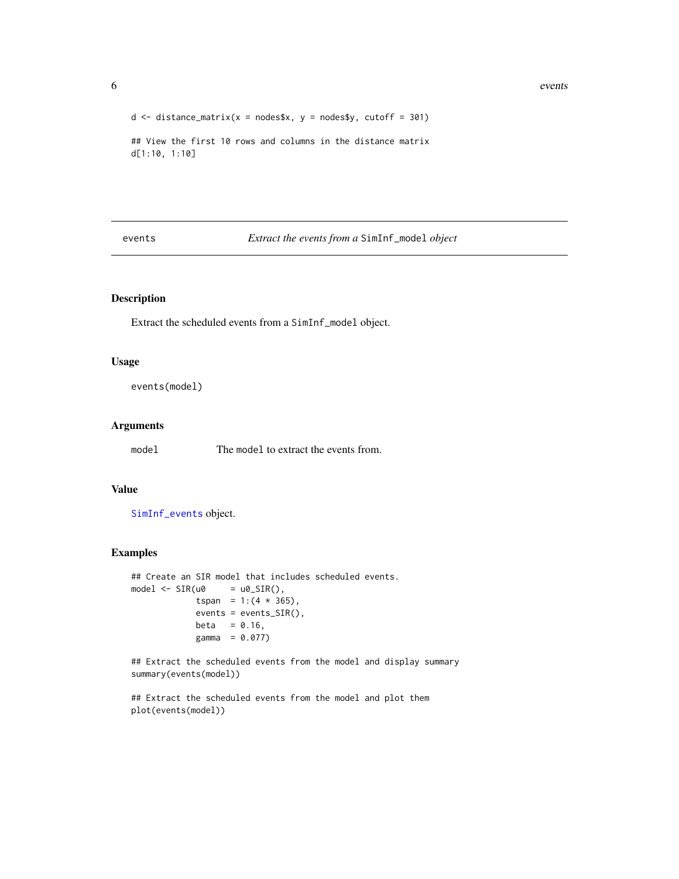```
d \le distance_matrix(x = nodes$x, y = nodes$y, cutoff = 301)
## View the first 10 rows and columns in the distance matrix
d[1:10, 1:10]
```
# events *Extract the events from a* SimInf\_model *object*

# Description

Extract the scheduled events from a SimInf\_model object.

# Usage

events(model)

#### Arguments

model The model to extract the events from.

# Value

[SimInf\\_events](#page-32-1) object.

#### Examples

```
## Create an SIR model that includes scheduled events.
model \leq SIR(u0 = u0_SIR(),
            tspan = 1:(4 * 365),
            events = events_SIR(),
            beta = 0.16,
            gamma = 0.077)
```
## Extract the scheduled events from the model and display summary summary(events(model))

<span id="page-5-0"></span>

<sup>##</sup> Extract the scheduled events from the model and plot them plot(events(model))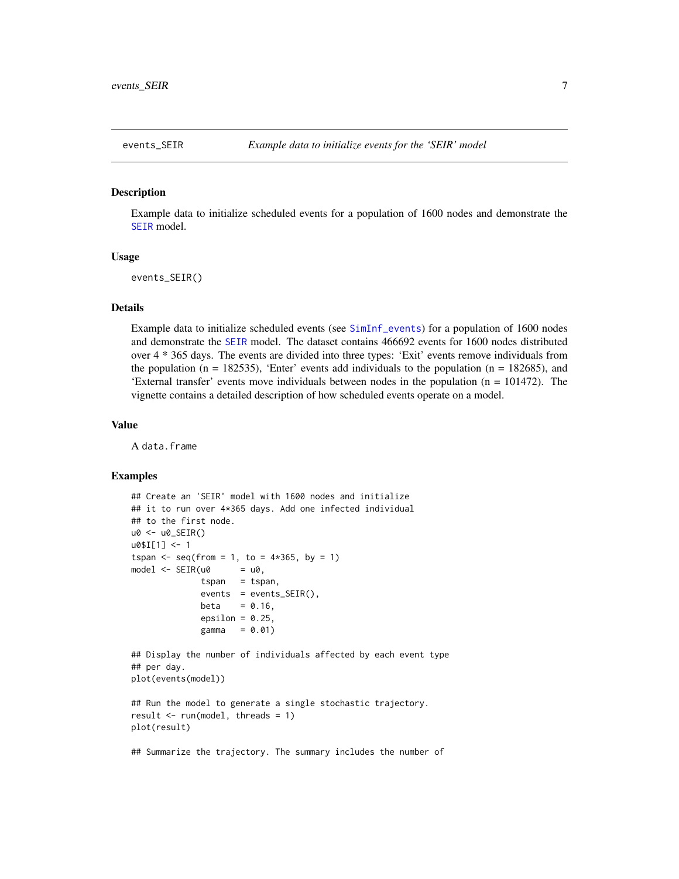#### <span id="page-6-0"></span>Description

Example data to initialize scheduled events for a population of 1600 nodes and demonstrate the [SEIR](#page-26-1) model.

# Usage

events\_SEIR()

#### Details

Example data to initialize scheduled events (see [SimInf\\_events](#page-32-1)) for a population of 1600 nodes and demonstrate the [SEIR](#page-26-1) model. The dataset contains 466692 events for 1600 nodes distributed over 4 \* 365 days. The events are divided into three types: 'Exit' events remove individuals from the population ( $n = 182535$ ), 'Enter' events add individuals to the population ( $n = 182685$ ), and 'External transfer' events move individuals between nodes in the population (n = 101472). The vignette contains a detailed description of how scheduled events operate on a model.

#### Value

A data.frame

```
## Create an 'SEIR' model with 1600 nodes and initialize
## it to run over 4*365 days. Add one infected individual
## to the first node.
u0 <- u0_SEIR()
u0$I[1] <- 1
tspan <- seq(from = 1, to = 4*365, by = 1)
model \leq -SEIR(u0) = u0,
              tspan = tspan,
              events = events_SEIR(),
             beta = 0.16,
              epsilon = 0.25,
              gamma = 0.01)
## Display the number of individuals affected by each event type
## per day.
plot(events(model))
## Run the model to generate a single stochastic trajectory.
result \leq run(model, threads = 1)
plot(result)
## Summarize the trajectory. The summary includes the number of
```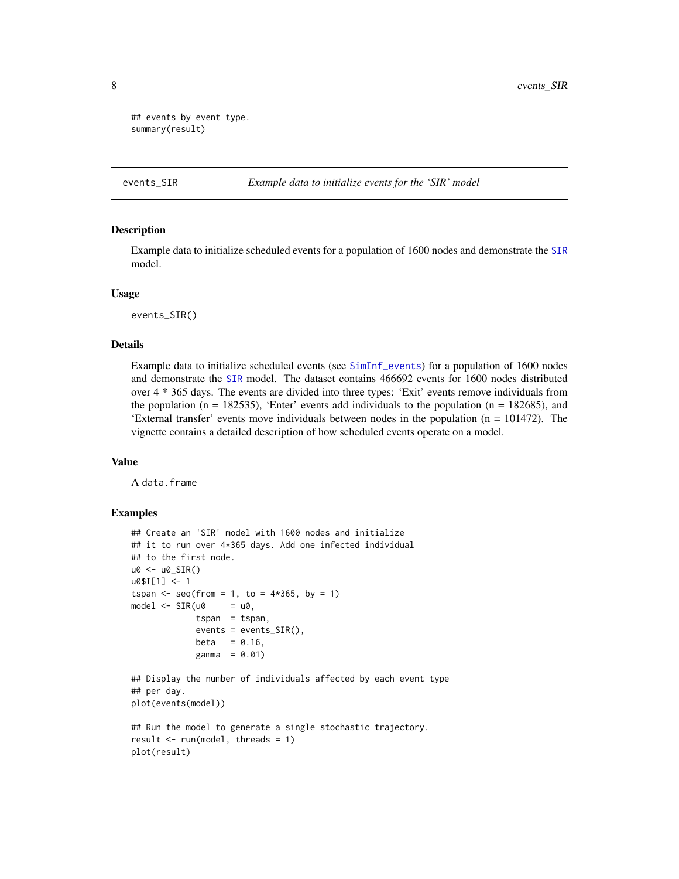```
## events by event type.
summary(result)
```

```
events_SIR Example data to initialize events for the 'SIR' model
```
# Description

Example data to initialize scheduled events for a population of 1600 nodes and demonstrate the [SIR](#page-37-1) model.

#### Usage

events\_SIR()

#### Details

Example data to initialize scheduled events (see [SimInf\\_events](#page-32-1)) for a population of 1600 nodes and demonstrate the [SIR](#page-37-1) model. The dataset contains 466692 events for 1600 nodes distributed over 4 \* 365 days. The events are divided into three types: 'Exit' events remove individuals from the population ( $n = 182535$ ), 'Enter' events add individuals to the population ( $n = 182685$ ), and 'External transfer' events move individuals between nodes in the population (n = 101472). The vignette contains a detailed description of how scheduled events operate on a model.

# Value

A data.frame

```
## Create an 'SIR' model with 1600 nodes and initialize
## it to run over 4*365 days. Add one infected individual
## to the first node.
u0 <- u0_SIR()
u0$I[1] <- 1
tspan <- seq(from = 1, to = 4*365, by = 1)model \leq -SIR(u0) = u0,
             tspan = tspan,
             events = events_SIR(),
             beta = 0.16,
             gamma = 0.01)
## Display the number of individuals affected by each event type
## per day.
plot(events(model))
## Run the model to generate a single stochastic trajectory.
result \leq run(model, threads = 1)
plot(result)
```
<span id="page-7-0"></span>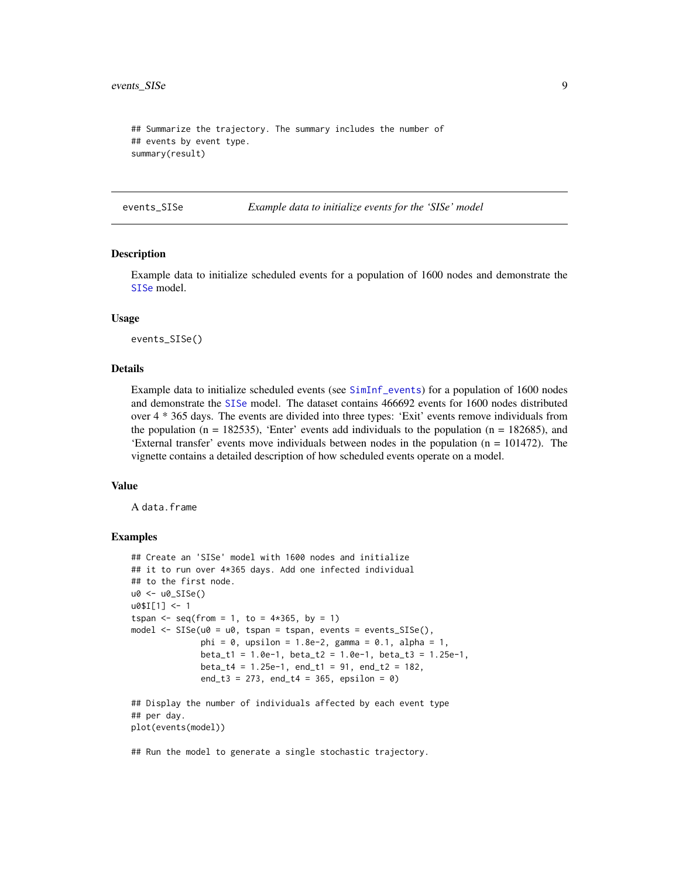```
## Summarize the trajectory. The summary includes the number of
## events by event type.
summary(result)
```
events\_SISe *Example data to initialize events for the 'SISe' model*

# Description

Example data to initialize scheduled events for a population of 1600 nodes and demonstrate the [SISe](#page-39-1) model.

#### Usage

events\_SISe()

#### Details

Example data to initialize scheduled events (see [SimInf\\_events](#page-32-1)) for a population of 1600 nodes and demonstrate the [SISe](#page-39-1) model. The dataset contains 466692 events for 1600 nodes distributed over 4 \* 365 days. The events are divided into three types: 'Exit' events remove individuals from the population (n = 182535), 'Enter' events add individuals to the population (n = 182685), and 'External transfer' events move individuals between nodes in the population (n = 101472). The vignette contains a detailed description of how scheduled events operate on a model.

#### Value

A data.frame

# Examples

```
## Create an 'SISe' model with 1600 nodes and initialize
## it to run over 4*365 days. Add one infected individual
## to the first node.
u0 <- u0_SISe()
u0$I[1] <- 1
tspan <- seq(from = 1, to = 4*365, by = 1)model \leq SISe(u0 = u0, tspan = tspan, events = events_SISe(),
              phi = 0, upsilon = 1.8e-2, gamma = 0.1, alpha = 1,
              beta_t1 = 1.0e-1, beta_t2 = 1.0e-1, beta_t3 = 1.25e-1,
             beta_t4 = 1.25e-1, end_t1 = 91, end_t2 = 182,
              end_t3 = 273, end_t4 = 365, epsilon = 0)
## Display the number of individuals affected by each event type
## per day.
```
plot(events(model))

## Run the model to generate a single stochastic trajectory.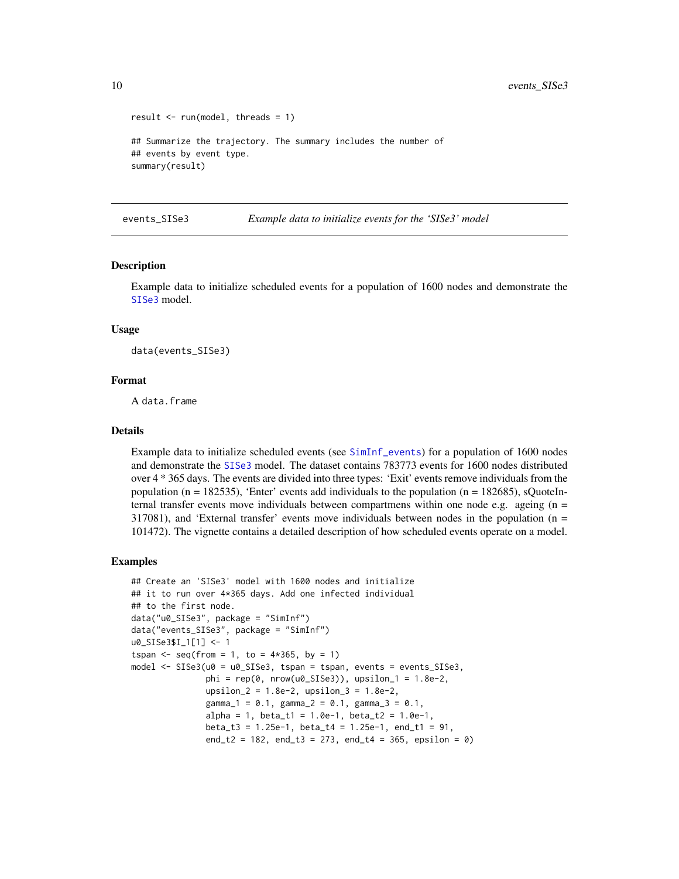```
result \leq run(model, threads = 1)
## Summarize the trajectory. The summary includes the number of
## events by event type.
summary(result)
```
events\_SISe3 *Example data to initialize events for the 'SISe3' model*

#### Description

Example data to initialize scheduled events for a population of 1600 nodes and demonstrate the [SISe3](#page-41-1) model.

#### Usage

data(events\_SISe3)

#### Format

A data.frame

#### Details

Example data to initialize scheduled events (see [SimInf\\_events](#page-32-1)) for a population of 1600 nodes and demonstrate the [SISe3](#page-41-1) model. The dataset contains 783773 events for 1600 nodes distributed over 4 \* 365 days. The events are divided into three types: 'Exit' events remove individuals from the population (n = 182535), 'Enter' events add individuals to the population (n = 182685), sQuoteInternal transfer events move individuals between compartmens within one node e.g. ageing  $(n =$ 317081), and 'External transfer' events move individuals between nodes in the population (n = 101472). The vignette contains a detailed description of how scheduled events operate on a model.

```
## Create an 'SISe3' model with 1600 nodes and initialize
## it to run over 4*365 days. Add one infected individual
## to the first node.
data("u0_SISe3", package = "SimInf")
data("events_SISe3", package = "SimInf")
u0_SISe3$I_1[1] <- 1
tspan <- seq(from = 1, to = 4*365, by = 1)model <- SISe3(u0 = u0_SISe3, tspan = tspan, events = events_SISe3,
               phi = rep(0, nrow(u0_SISe3)), upsilon_1 = 1.8e-2,upsilon_2 = 1.8e-2, upsilon_3 = 1.8e-2,
               gamma_1 = 0.1, gamma_2 = 0.1, gamma_3 = 0.1,
               alpha = 1, beta_t1 = 1.0e-1, beta_t2 = 1.0e-1,
               beta_t3 = 1.25e-1, beta_t4 = 1.25e-1, end_t1 = 91,
               end_t2 = 182, end_t3 = 273, end_t4 = 365, epsilon = 0)
```
<span id="page-9-0"></span>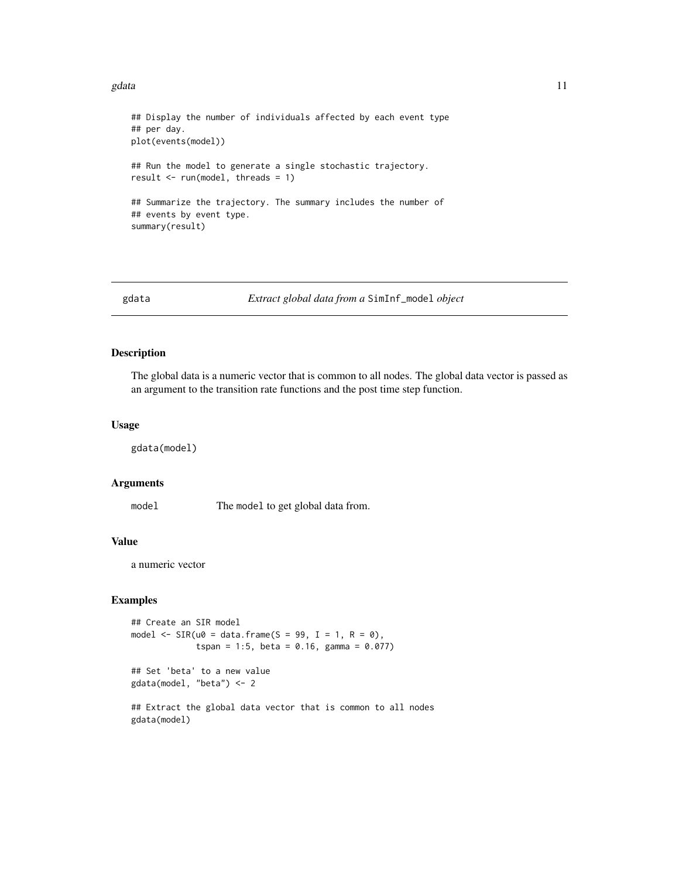#### <span id="page-10-0"></span>gdata  $11$

```
## Display the number of individuals affected by each event type
## per day.
plot(events(model))
## Run the model to generate a single stochastic trajectory.
result <- run(model, threads = 1)
## Summarize the trajectory. The summary includes the number of
## events by event type.
summary(result)
```
gdata *Extract global data from a* SimInf\_model *object*

# Description

The global data is a numeric vector that is common to all nodes. The global data vector is passed as an argument to the transition rate functions and the post time step function.

#### Usage

gdata(model)

# **Arguments**

model The model to get global data from.

# Value

a numeric vector

# Examples

```
## Create an SIR model
model \leq SIR(u0 = data.frame(S = 99, I = 1, R = 0),
             tspan = 1:5, beta = 0.16, gamma = 0.077)
```
## Set 'beta' to a new value gdata(model, "beta") <- 2

## Extract the global data vector that is common to all nodes gdata(model)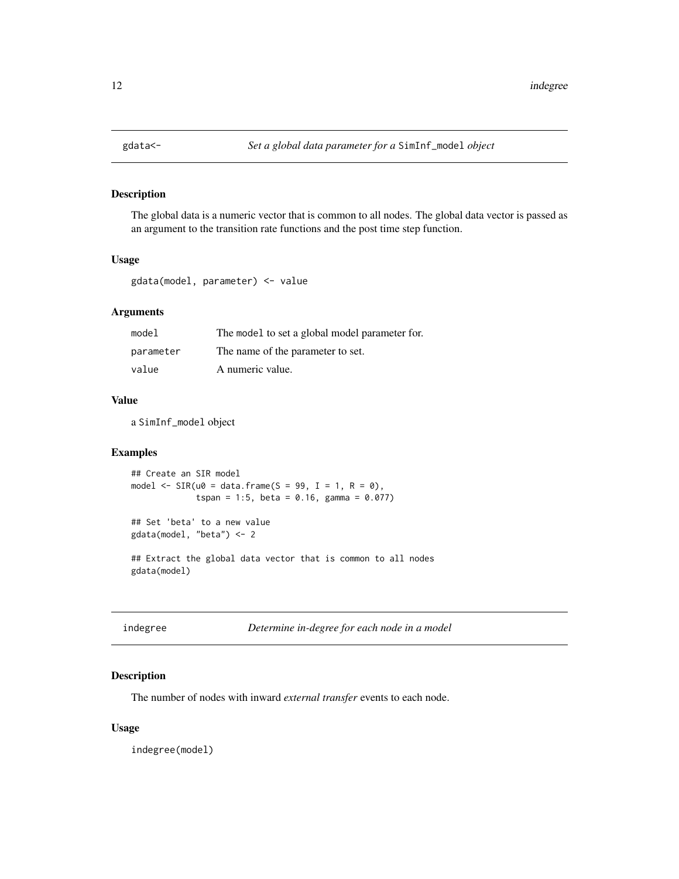<span id="page-11-0"></span>

# Description

The global data is a numeric vector that is common to all nodes. The global data vector is passed as an argument to the transition rate functions and the post time step function.

# Usage

gdata(model, parameter) <- value

# Arguments

| model     | The model to set a global model parameter for. |
|-----------|------------------------------------------------|
| parameter | The name of the parameter to set.              |
| value     | A numeric value.                               |

# Value

a SimInf\_model object

# Examples

```
## Create an SIR model
model \leq SIR(u0 = data.frame(S = 99, I = 1, R = 0),
             tspan = 1:5, beta = 0.16, gamma = 0.077)
```
## Set 'beta' to a new value gdata(model, "beta") <- 2

## Extract the global data vector that is common to all nodes gdata(model)

| indegree |  |
|----------|--|
|----------|--|

indegree *Determine in-degree for each node in a model*

# Description

The number of nodes with inward *external transfer* events to each node.

# Usage

indegree(model)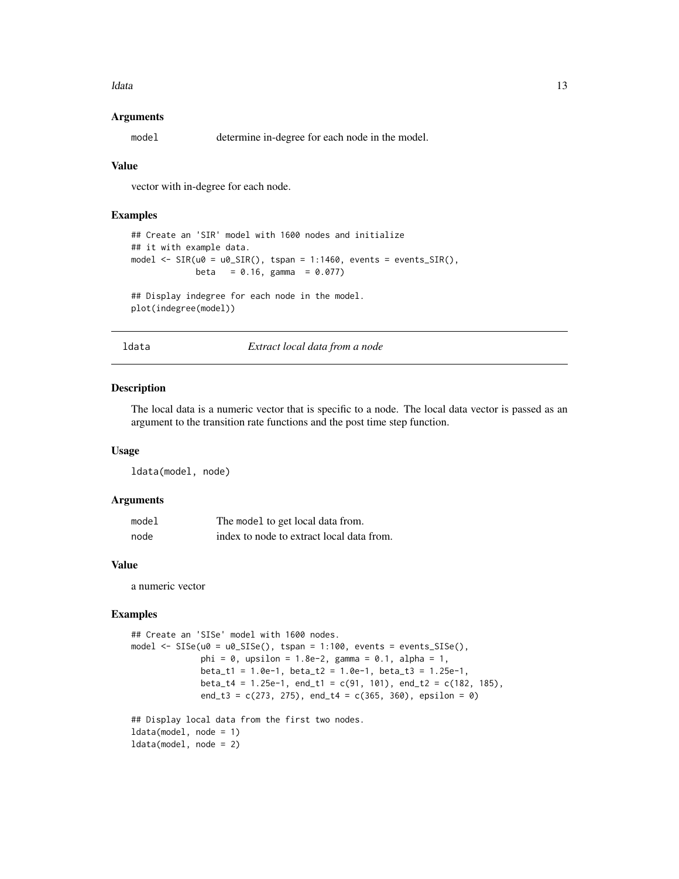<span id="page-12-0"></span>ldata 13

# Arguments

model determine in-degree for each node in the model.

# Value

vector with in-degree for each node.

# Examples

```
## Create an 'SIR' model with 1600 nodes and initialize
## it with example data.
model \leq SIR(u0 = u0_SIR(), tspan = 1:1460, events = events_SIR(),
            beta = 0.16, gamma = 0.077)
## Display indegree for each node in the model.
```
plot(indegree(model))

ldata *Extract local data from a node*

#### Description

The local data is a numeric vector that is specific to a node. The local data vector is passed as an argument to the transition rate functions and the post time step function.

#### Usage

ldata(model, node)

# Arguments

| model | The model to get local data from.         |
|-------|-------------------------------------------|
| node  | index to node to extract local data from. |

#### Value

a numeric vector

```
## Create an 'SISe' model with 1600 nodes.
model \leq SISe(u0 = u0_SISe(), tspan = 1:100, events = events_SISe(),
              phi = 0, upsilon = 1.8e-2, gamma = 0.1, alpha = 1,
              beta_t1 = 1.0e-1, beta_t2 = 1.0e-1, beta_t3 = 1.25e-1,
             beta_t4 = 1.25e-1, end_t1 = c(91, 101), end_t2 = c(182, 185),
              end_t3 = c(273, 275), end_t4 = c(365, 360), epsilon = 0)
## Display local data from the first two nodes.
```

```
ldata(model, node = 1)
ldata(model, node = 2)
```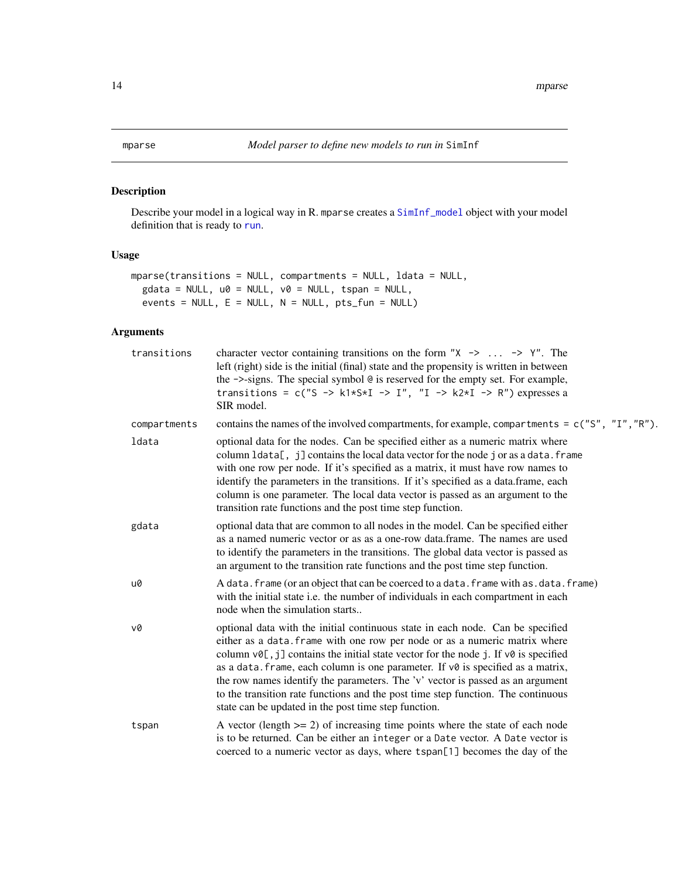# <span id="page-13-1"></span><span id="page-13-0"></span>Description

Describe your model in a logical way in R. mparse creates a [SimInf\\_model](#page-34-1) object with your model definition that is ready to [run](#page-22-1).

# Usage

```
mparse(transitions = NULL, compartments = NULL, ldata = NULL,
 gdata = NULL, u0 = NULL, v0 = NULL, tspan = NULL,
 events = NULL, E = NULL, N = NULL, pts_fun = NULL)
```
# Arguments

| transitions  | character vector containing transitions on the form " $X \rightarrow \dots \rightarrow Y$ ". The<br>left (right) side is the initial (final) state and the propensity is written in between<br>the ->-signs. The special symbol @ is reserved for the empty set. For example,<br>transitions = $c("S \rightarrow k1*S*I \rightarrow I", "I \rightarrow k2*I \rightarrow R")$ expresses a<br>SIR model.                                                                                                                                                                      |
|--------------|-----------------------------------------------------------------------------------------------------------------------------------------------------------------------------------------------------------------------------------------------------------------------------------------------------------------------------------------------------------------------------------------------------------------------------------------------------------------------------------------------------------------------------------------------------------------------------|
| compartments | contains the names of the involved compartments, for example, compartments = c("S", "I", "R").                                                                                                                                                                                                                                                                                                                                                                                                                                                                              |
| ldata        | optional data for the nodes. Can be specified either as a numeric matrix where<br>column ldata[, j] contains the local data vector for the node j or as a data. frame<br>with one row per node. If it's specified as a matrix, it must have row names to<br>identify the parameters in the transitions. If it's specified as a data.frame, each<br>column is one parameter. The local data vector is passed as an argument to the<br>transition rate functions and the post time step function.                                                                             |
| gdata        | optional data that are common to all nodes in the model. Can be specified either<br>as a named numeric vector or as as a one-row data.frame. The names are used<br>to identify the parameters in the transitions. The global data vector is passed as<br>an argument to the transition rate functions and the post time step function.                                                                                                                                                                                                                                      |
| u0           | A data. frame (or an object that can be coerced to a data. frame with as. data. frame)<br>with the initial state i.e. the number of individuals in each compartment in each<br>node when the simulation starts                                                                                                                                                                                                                                                                                                                                                              |
| v0           | optional data with the initial continuous state in each node. Can be specified<br>either as a data. frame with one row per node or as a numeric matrix where<br>column v0[, j] contains the initial state vector for the node j. If v0 is specified<br>as a data. frame, each column is one parameter. If $v\theta$ is specified as a matrix,<br>the row names identify the parameters. The 'v' vector is passed as an argument<br>to the transition rate functions and the post time step function. The continuous<br>state can be updated in the post time step function. |
| tspan        | A vector (length $>= 2$ ) of increasing time points where the state of each node<br>is to be returned. Can be either an integer or a Date vector. A Date vector is<br>coerced to a numeric vector as days, where tspan[1] becomes the day of the                                                                                                                                                                                                                                                                                                                            |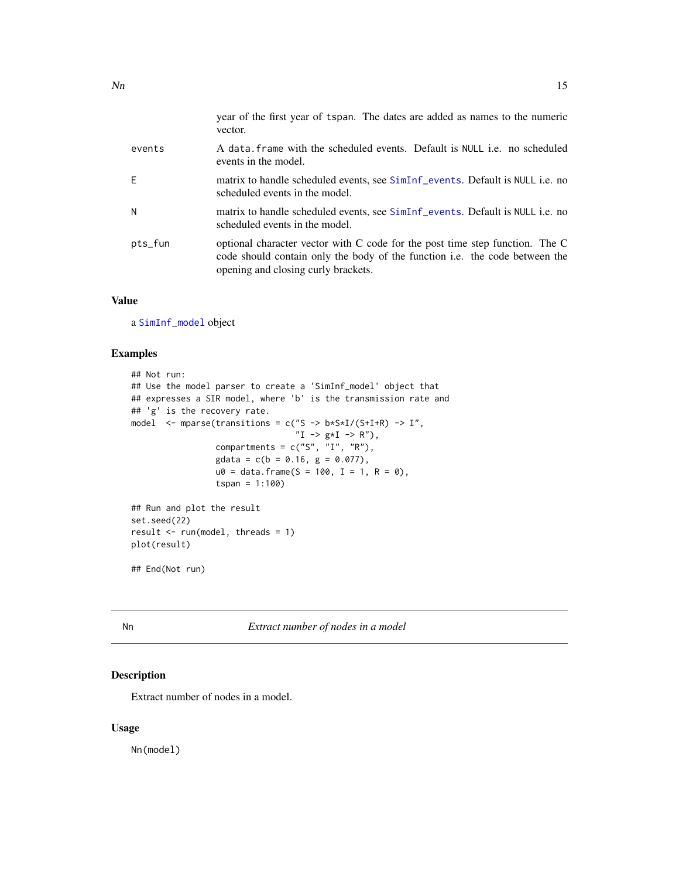<span id="page-14-0"></span>

|         | year of the first year of tspan. The dates are added as names to the numeric<br>vector.                                                                                                            |
|---------|----------------------------------------------------------------------------------------------------------------------------------------------------------------------------------------------------|
| events  | A data frame with the scheduled events. Default is NULL i.e. no scheduled<br>events in the model.                                                                                                  |
| -F      | matrix to handle scheduled events, see SimInf_events. Default is NULL i.e. no<br>scheduled events in the model.                                                                                    |
| N       | matrix to handle scheduled events, see SimInf_events. Default is NULL i.e. no<br>scheduled events in the model.                                                                                    |
| pts_fun | optional character vector with C code for the post time step function. The C<br>code should contain only the body of the function i.e. the code between the<br>opening and closing curly brackets. |

# Value

a [SimInf\\_model](#page-34-1) object

# Examples

```
## Not run:
## Use the model parser to create a 'SimInf_model' object that
## expresses a SIR model, where 'b' is the transmission rate and
## 'g' is the recovery rate.
model \leq mparse(transitions = c("S -> b*S*I/(S+I+R) -> I",
                                 "I -> g*I -> R"),
                 compartments = c("S", "I", "R"),
                 gdata = c(b = 0.16, g = 0.077),u0 = data. frame(S = 100, I = 1, R = 0),
                 tspan = 1:100## Run and plot the result
set.seed(22)
result \leq run(model, threads = 1)
plot(result)
```
## End(Not run)

Nn *Extract number of nodes in a model*

# Description

Extract number of nodes in a model.

# Usage

Nn(model)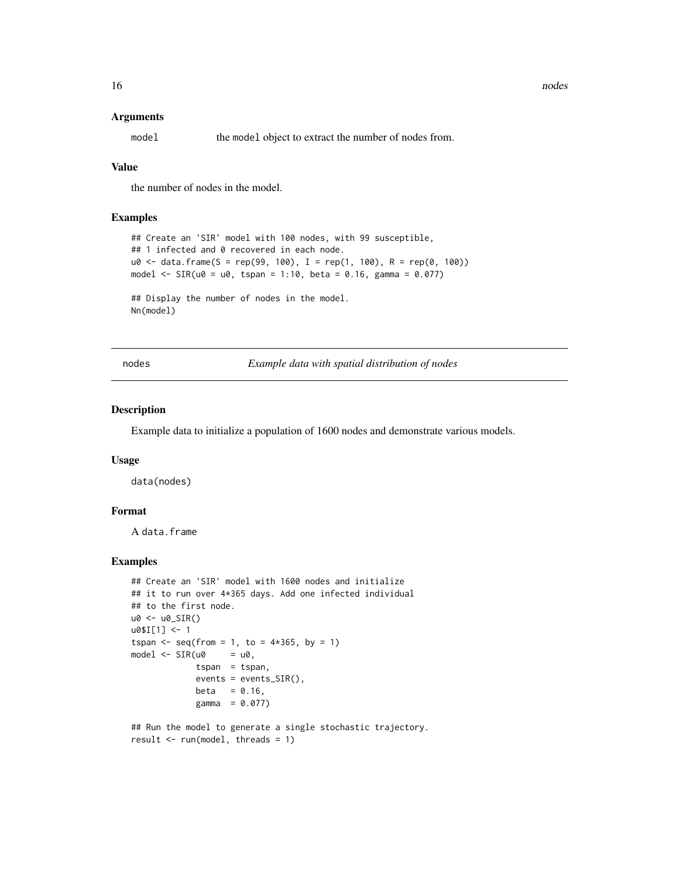#### <span id="page-15-0"></span>Arguments

model the model object to extract the number of nodes from.

# Value

the number of nodes in the model.

# Examples

```
## Create an 'SIR' model with 100 nodes, with 99 susceptible,
## 1 infected and 0 recovered in each node.
u0 \leq - data.frame(S = rep(99, 100), I = rep(1, 100), R = rep(0, 100))
model <- SIR(u0 = u0, tspan = 1:10, beta = 0.16, gamma = 0.077)## Display the number of nodes in the model.
Nn(model)
```
nodes *Example data with spatial distribution of nodes*

#### Description

Example data to initialize a population of 1600 nodes and demonstrate various models.

#### Usage

data(nodes)

# Format

A data.frame

# Examples

```
## Create an 'SIR' model with 1600 nodes and initialize
## it to run over 4*365 days. Add one infected individual
## to the first node.
u0 <- u0_SIR()
u0$I[1] <- 1
tspan <- seq(from = 1, to = 4*365, by = 1)model \leq SIR(u0 = u0,
             tspan = tspan,
             events = events_SIR(),
             beta = 0.16,
             gamma = 0.077)
```
## Run the model to generate a single stochastic trajectory. result  $\leq$  run(model, threads = 1)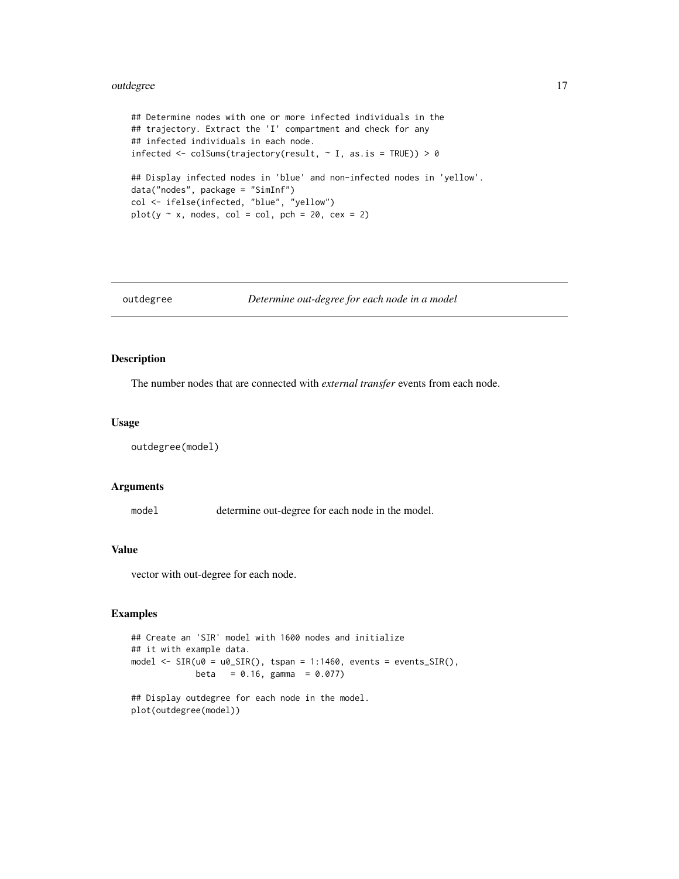#### <span id="page-16-0"></span>outdegree that the control of the control of the control of the control of the control of the control of the control of the control of the control of the control of the control of the control of the control of the control

```
## Determine nodes with one or more infected individuals in the
## trajectory. Extract the 'I' compartment and check for any
## infected individuals in each node.
infected \leq colSums(trajectory(result, \sim I, as.is = TRUE)) > 0
## Display infected nodes in 'blue' and non-infected nodes in 'yellow'.
data("nodes", package = "SimInf")
col <- ifelse(infected, "blue", "yellow")
plot(y \sim x, nodes, col = col, pch = 20, cex = 2)
```

```
outdegree Determine out-degree for each node in a model
```
# Description

The number nodes that are connected with *external transfer* events from each node.

#### Usage

```
outdegree(model)
```
#### Arguments

model determine out-degree for each node in the model.

# Value

vector with out-degree for each node.

# Examples

```
## Create an 'SIR' model with 1600 nodes and initialize
## it with example data.
model <- SIR(u0 = u0_SIR(), tspan = 1:1460, events = events_SIR(),
            beta = 0.16, gamma = 0.077)
```
## Display outdegree for each node in the model. plot(outdegree(model))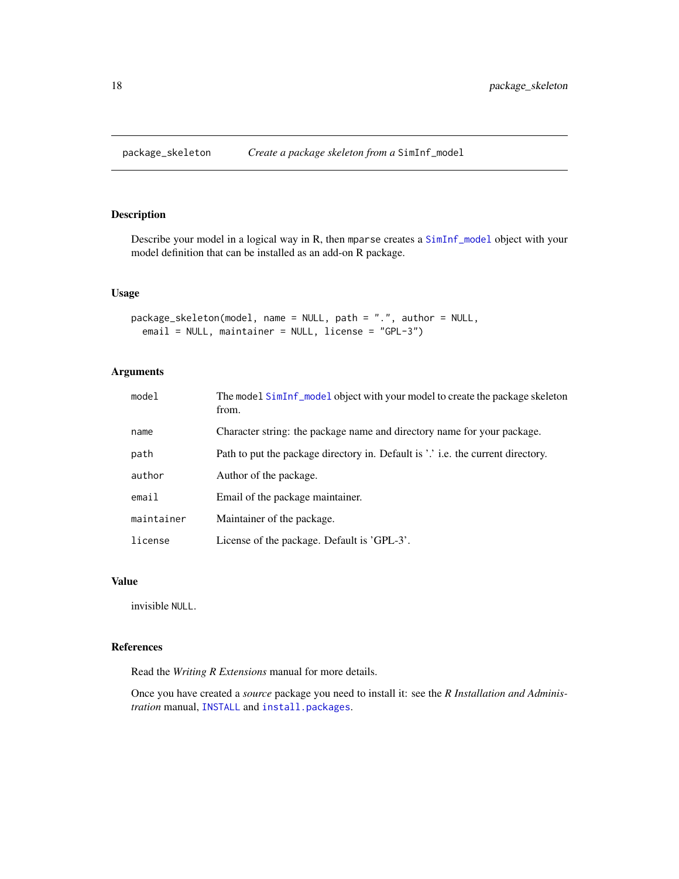<span id="page-17-1"></span><span id="page-17-0"></span>

# Description

Describe your model in a logical way in R, then mparse creates a [SimInf\\_model](#page-34-1) object with your model definition that can be installed as an add-on R package.

# Usage

```
package_skeleton(model, name = NULL, path = ".", author = NULL,
  email = NULL, maintainer = NULL, license = "GPL-3")
```
# Arguments

| model      | The model SimInf_model object with your model to create the package skeleton<br>from. |
|------------|---------------------------------------------------------------------------------------|
| name       | Character string: the package name and directory name for your package.               |
| path       | Path to put the package directory in. Default is '.' i.e. the current directory.      |
| author     | Author of the package.                                                                |
| email      | Email of the package maintainer.                                                      |
| maintainer | Maintainer of the package.                                                            |
| license    | License of the package. Default is 'GPL-3'.                                           |

# Value

invisible NULL.

# References

Read the *Writing R Extensions* manual for more details.

Once you have created a *source* package you need to install it: see the *R Installation and Administration* manual, [INSTALL](#page-0-0) and [install.packages](#page-0-0).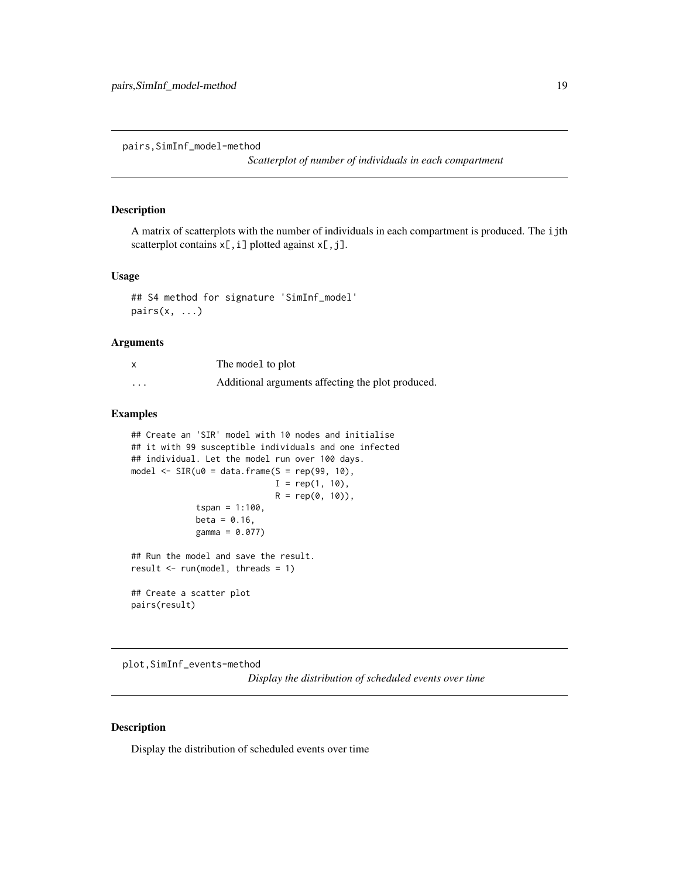<span id="page-18-0"></span>pairs,SimInf\_model-method

*Scatterplot of number of individuals in each compartment*

# Description

A matrix of scatterplots with the number of individuals in each compartment is produced. The ijth scatterplot contains  $x[, i]$  plotted against  $x[, j]$ .

#### Usage

```
## S4 method for signature 'SimInf_model'
pairs(x, ...)
```
#### Arguments

| $\boldsymbol{\mathsf{x}}$ | The model to plot                                 |
|---------------------------|---------------------------------------------------|
| $\cdots$                  | Additional arguments affecting the plot produced. |

# Examples

```
## Create an 'SIR' model with 10 nodes and initialise
## it with 99 susceptible individuals and one infected
## individual. Let the model run over 100 days.
model \leq SIR(u0 = data.frame(S = rep(99, 10),
                             I = rep(1, 10),R = rep(0, 10),
             tspan = 1:100,
             beta = 0.16,
             gamma = 0.077)
## Run the model and save the result.
result \le run(model, threads = 1)
## Create a scatter plot
pairs(result)
```
plot,SimInf\_events-method

*Display the distribution of scheduled events over time*

# Description

Display the distribution of scheduled events over time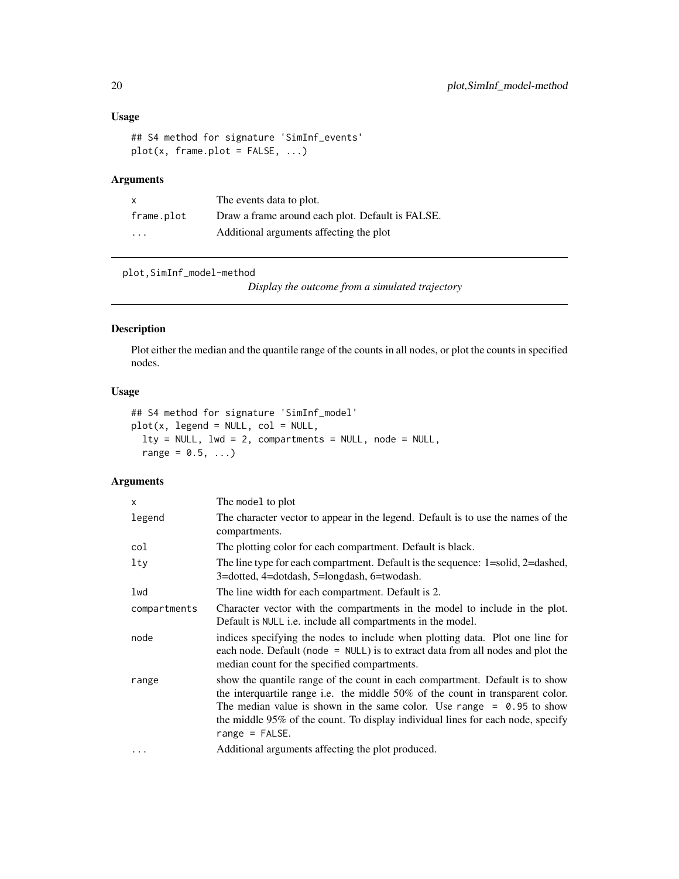# Usage

```
## S4 method for signature 'SimInf_events'
plot(x, frame.plot = FALSE, ...)
```
# Arguments

| X          | The events data to plot.                         |
|------------|--------------------------------------------------|
| frame.plot | Draw a frame around each plot. Default is FALSE. |
| .          | Additional arguments affecting the plot          |

plot,SimInf\_model-method

*Display the outcome from a simulated trajectory*

# Description

Plot either the median and the quantile range of the counts in all nodes, or plot the counts in specified nodes.

# Usage

```
## S4 method for signature 'SimInf_model'
plot(x, legend = NULL, col = NULL,lty = NULL, lwd = 2, compartments = NULL, node = NULL,
 range = 0.5, ...)
```
# Arguments

| X            | The model to plot                                                                                                                                                                                                                                                                                                                                   |
|--------------|-----------------------------------------------------------------------------------------------------------------------------------------------------------------------------------------------------------------------------------------------------------------------------------------------------------------------------------------------------|
| legend       | The character vector to appear in the legend. Default is to use the names of the<br>compartments.                                                                                                                                                                                                                                                   |
| col          | The plotting color for each compartment. Default is black.                                                                                                                                                                                                                                                                                          |
| lty          | The line type for each compartment. Default is the sequence: 1=solid, 2=dashed,<br>3=dotted, 4=dotdash, 5=longdash, 6=twodash.                                                                                                                                                                                                                      |
| lwd          | The line width for each compartment. Default is 2.                                                                                                                                                                                                                                                                                                  |
| compartments | Character vector with the compartments in the model to include in the plot.<br>Default is NULL i.e. include all compartments in the model.                                                                                                                                                                                                          |
| node         | indices specifying the nodes to include when plotting data. Plot one line for<br>each node. Default (node = $NULL$ ) is to extract data from all nodes and plot the<br>median count for the specified compartments.                                                                                                                                 |
| range        | show the quantile range of the count in each compartment. Default is to show<br>the interquartile range i.e. the middle $50\%$ of the count in transparent color.<br>The median value is shown in the same color. Use range $= 0.95$ to show<br>the middle 95% of the count. To display individual lines for each node, specify<br>range = $FALSE.$ |
| .            | Additional arguments affecting the plot produced.                                                                                                                                                                                                                                                                                                   |

<span id="page-19-0"></span>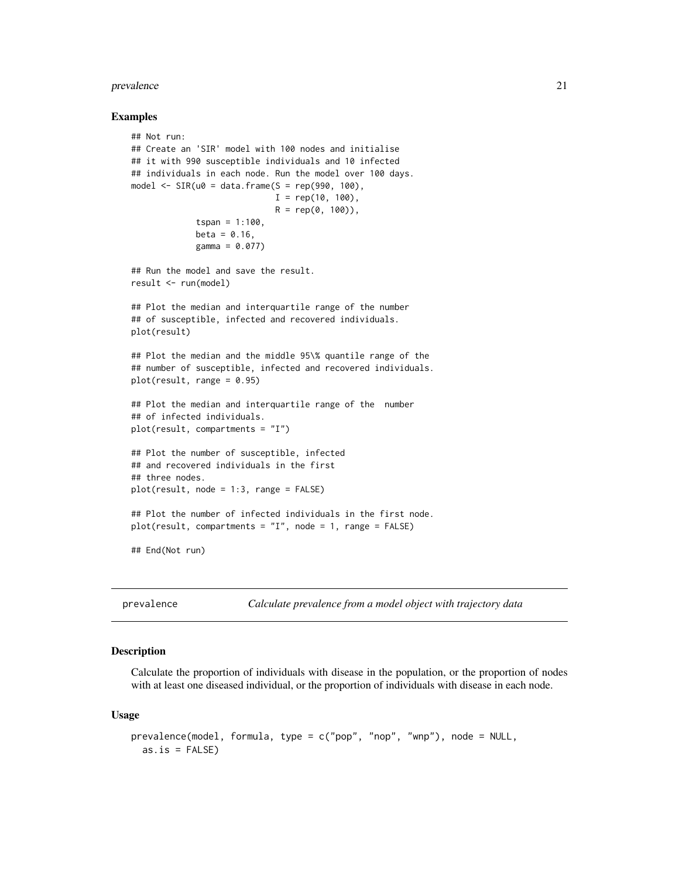#### <span id="page-20-0"></span>prevalence 21

#### Examples

```
## Not run:
## Create an 'SIR' model with 100 nodes and initialise
## it with 990 susceptible individuals and 10 infected
## individuals in each node. Run the model over 100 days.
model \leq SIR(u0 = data.frame(S = rep(990, 100),
                            I = rep(10, 100),R = rep(0, 100),
             tspan = 1:100,beta = 0.16,
             gamma = 0.077)
## Run the model and save the result.
result <- run(model)
## Plot the median and interquartile range of the number
## of susceptible, infected and recovered individuals.
plot(result)
## Plot the median and the middle 95\% quantile range of the
## number of susceptible, infected and recovered individuals.
plot(result, range = 0.95)
## Plot the median and interquartile range of the number
## of infected individuals.
plot(result, compartments = "I")
## Plot the number of susceptible, infected
## and recovered individuals in the first
## three nodes.
plot(result, node = 1:3, range = FALSE)
## Plot the number of infected individuals in the first node.
plot(result, compartments = "I", node = 1, range = FALSE)
## End(Not run)
```
<span id="page-20-1"></span>prevalence *Calculate prevalence from a model object with trajectory data*

# Description

Calculate the proportion of individuals with disease in the population, or the proportion of nodes with at least one diseased individual, or the proportion of individuals with disease in each node.

#### Usage

```
prevalence(model, formula, type = c("pop", "nop", "wnp"), node = NULL,
 as.is = FALSE)
```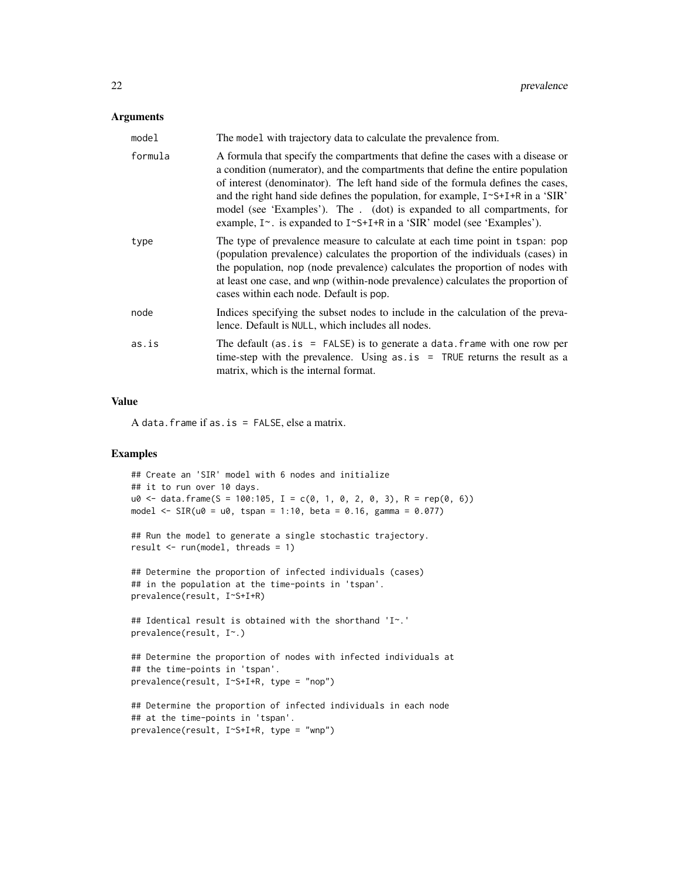# **Arguments**

| model   | The model with trajectory data to calculate the prevalence from.                                                                                                                                                                                                                                                                                                                                                                                                                                                |
|---------|-----------------------------------------------------------------------------------------------------------------------------------------------------------------------------------------------------------------------------------------------------------------------------------------------------------------------------------------------------------------------------------------------------------------------------------------------------------------------------------------------------------------|
| formula | A formula that specify the compartments that define the cases with a disease or<br>a condition (numerator), and the compartments that define the entire population<br>of interest (denominator). The left hand side of the formula defines the cases,<br>and the right hand side defines the population, for example, I~S+I+R in a 'SIR'<br>model (see 'Examples'). The . (dot) is expanded to all compartments, for<br>example, $I^{\sim}$ . is expanded to $I^{\sim}S+I+R$ in a 'SIR' model (see 'Examples'). |
| type    | The type of prevalence measure to calculate at each time point in tspan: pop<br>(population prevalence) calculates the proportion of the individuals (cases) in<br>the population, nop (node prevalence) calculates the proportion of nodes with<br>at least one case, and wnp (within-node prevalence) calculates the proportion of<br>cases within each node. Default is pop.                                                                                                                                 |
| node    | Indices specifying the subset nodes to include in the calculation of the preva-<br>lence. Default is NULL, which includes all nodes.                                                                                                                                                                                                                                                                                                                                                                            |
| as.is   | The default (as. is $=$ FALSE) is to generate a data. frame with one row per<br>time-step with the prevalence. Using $as.is = TRUE$ returns the result as a<br>matrix, which is the internal format.                                                                                                                                                                                                                                                                                                            |

# Value

A data.frame if as.is = FALSE, else a matrix.

```
## Create an 'SIR' model with 6 nodes and initialize
## it to run over 10 days.
u0 \leq - data.frame(S = 100:105, I = c(0, 1, 0, 2, 0, 3), R = rep(0, 6))
model <- SIR(u0 = u0, tspan = 1:10, beta = 0.16, gamma = 0.077)
## Run the model to generate a single stochastic trajectory.
result <- run(model, threads = 1)
## Determine the proportion of infected individuals (cases)
## in the population at the time-points in 'tspan'.
prevalence(result, I~S+I+R)
## Identical result is obtained with the shorthand 'I~.'
prevalence(result, I~.)
## Determine the proportion of nodes with infected individuals at
## the time-points in 'tspan'.
prevalence(result, I~S+I+R, type = "nop")
## Determine the proportion of infected individuals in each node
## at the time-points in 'tspan'.
prevalence(result, I~S+I+R, type = "wnp")
```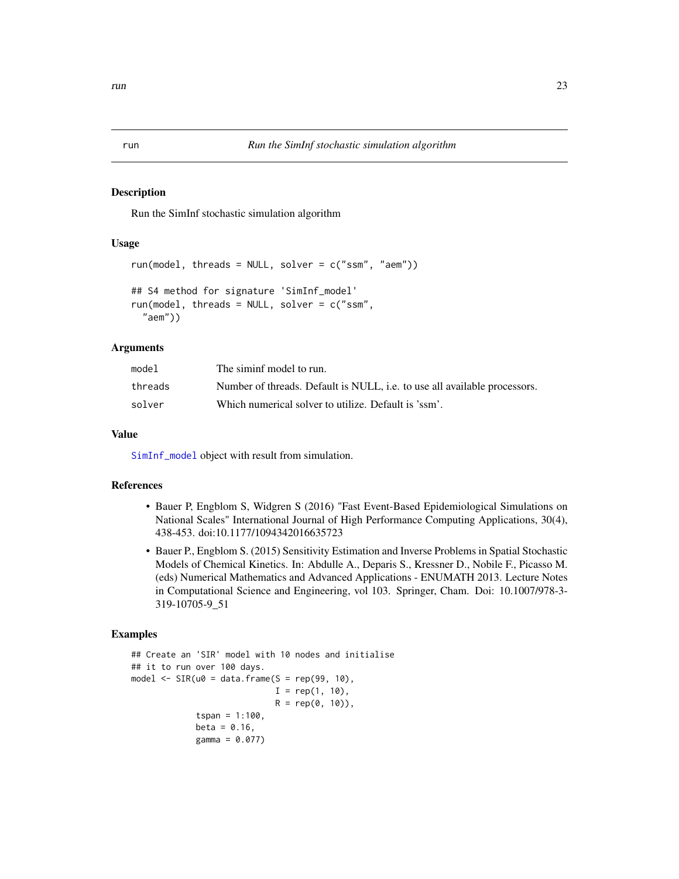#### Description

Run the SimInf stochastic simulation algorithm

# Usage

```
run(model, threads = NULL, solver = c("ssm", "aem"))
## S4 method for signature 'SimInf_model'
run(model, threads = NULL, solver = c("ssm",
  "aem"))
```
# Arguments

| model   | The siminf model to run.                                                  |
|---------|---------------------------------------------------------------------------|
| threads | Number of threads. Default is NULL, i.e. to use all available processors. |
| solver  | Which numerical solver to utilize. Default is 'ssm'.                      |

# Value

[SimInf\\_model](#page-33-1) object with result from simulation.

#### References

- Bauer P, Engblom S, Widgren S (2016) "Fast Event-Based Epidemiological Simulations on National Scales" International Journal of High Performance Computing Applications, 30(4), 438-453. doi:10.1177/1094342016635723
- Bauer P., Engblom S. (2015) Sensitivity Estimation and Inverse Problems in Spatial Stochastic Models of Chemical Kinetics. In: Abdulle A., Deparis S., Kressner D., Nobile F., Picasso M. (eds) Numerical Mathematics and Advanced Applications - ENUMATH 2013. Lecture Notes in Computational Science and Engineering, vol 103. Springer, Cham. Doi: 10.1007/978-3- 319-10705-9\_51

```
## Create an 'SIR' model with 10 nodes and initialise
## it to run over 100 days.
model \leq SIR(u0 = data.frame(S = rep(99, 10),
                             I = rep(1, 10),R = rep(0, 10),
             tspan = 1:100,
             beta = 0.16,
             gamma = 0.077)
```
<span id="page-22-1"></span><span id="page-22-0"></span>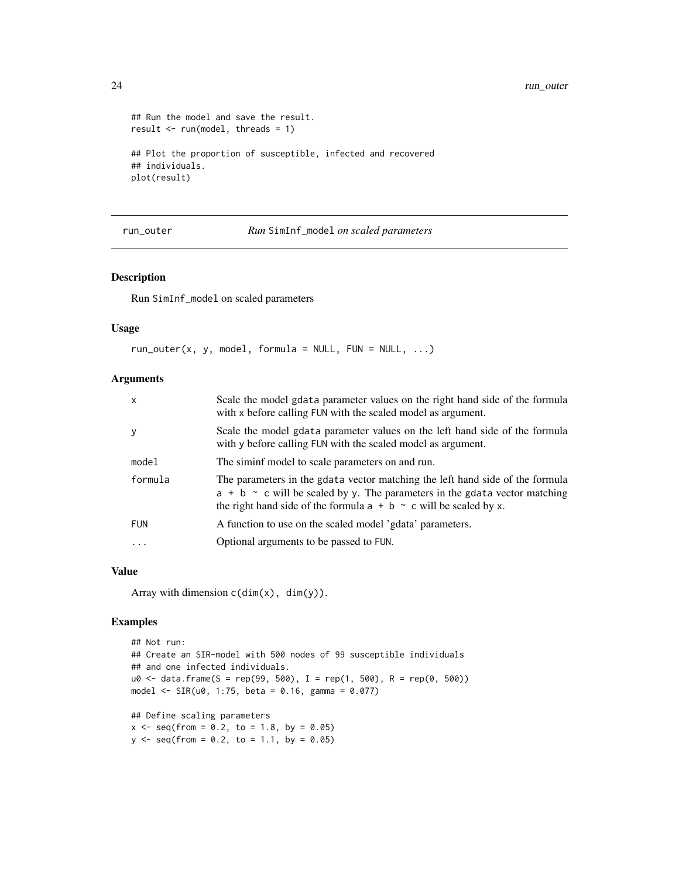```
## Run the model and save the result.
result <- run(model, threads = 1)
## Plot the proportion of susceptible, infected and recovered
## individuals.
plot(result)
```
run\_outer *Run* SimInf\_model *on scaled parameters*

#### Description

Run SimInf\_model on scaled parameters

# Usage

```
run\_outer(x, y, model, formula = NULL, FUN = NULL, ...)
```
# Arguments

| $\mathsf{x}$ | Scale the model gdata parameter values on the right hand side of the formula<br>with x before calling FUN with the scaled model as argument.                                                                                                   |
|--------------|------------------------------------------------------------------------------------------------------------------------------------------------------------------------------------------------------------------------------------------------|
| y            | Scale the model gdata parameter values on the left hand side of the formula<br>with y before calling FUN with the scaled model as argument.                                                                                                    |
| model        | The siminf model to scale parameters on and run.                                                                                                                                                                                               |
| formula      | The parameters in the gotal and vector matching the left hand side of the formula<br>$a + b \sim c$ will be scaled by y. The parameters in the gdata vector matching<br>the right hand side of the formula $a + b \sim c$ will be scaled by x. |
| <b>FUN</b>   | A function to use on the scaled model 'gdata' parameters.                                                                                                                                                                                      |
| $\ddots$     | Optional arguments to be passed to FUN.                                                                                                                                                                                                        |
|              |                                                                                                                                                                                                                                                |

#### Value

Array with dimension  $c(\dim(x), \dim(y))$ .

```
## Not run:
## Create an SIR-model with 500 nodes of 99 susceptible individuals
## and one infected individuals.
u0 \le - data.frame(S = rep(99, 500), I = rep(1, 500), R = rep(0, 500))
model <- SIR(u0, 1:75, beta = 0.16, gamma = 0.077)## Define scaling parameters
x \le - seq(from = 0.2, to = 1.8, by = 0.05)
y \le - seq(from = 0.2, to = 1.1, by = 0.05)
```
<span id="page-23-0"></span>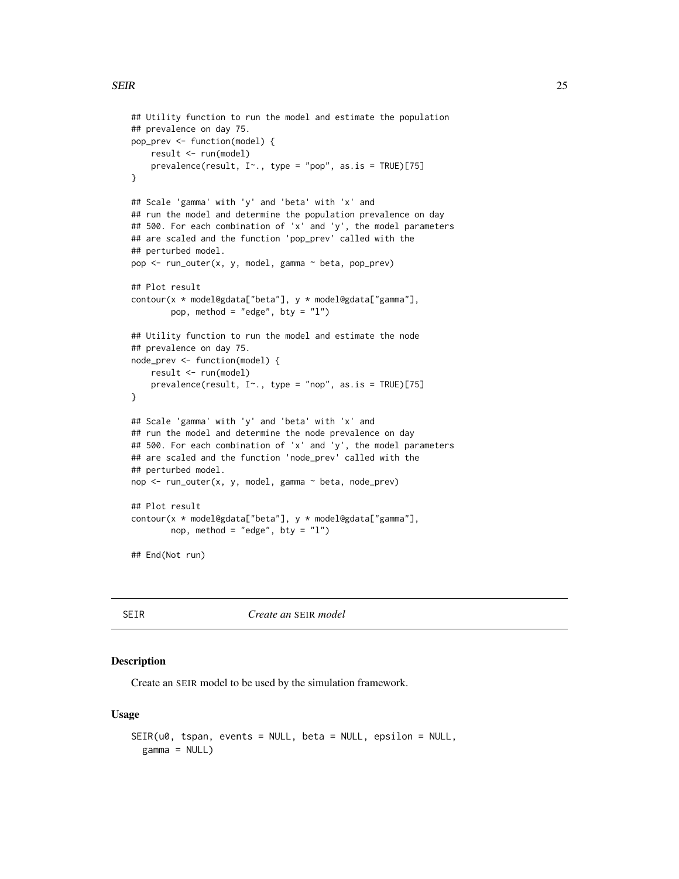```
## Utility function to run the model and estimate the population
## prevalence on day 75.
pop_prev <- function(model) {
   result <- run(model)
   prevalence(result, I~., type = "pop", as.is = TRUE)[75]
}
## Scale 'gamma' with 'y' and 'beta' with 'x' and
## run the model and determine the population prevalence on day
## 500. For each combination of 'x' and 'y', the model parameters
## are scaled and the function 'pop_prev' called with the
## perturbed model.
pop <- run_outer(x, y, model, gamma ~ beta, pop_prev)
## Plot result
contour(x * model@gdata["beta"], y * model@gdata["gamma"],
       pop, method = "edge", bty = "l")
## Utility function to run the model and estimate the node
## prevalence on day 75.
node_prev <- function(model) {
   result <- run(model)
   prevalence(result, I~., type = "nop", as.is = TRUE)[75]
}
## Scale 'gamma' with 'y' and 'beta' with 'x' and
## run the model and determine the node prevalence on day
## 500. For each combination of 'x' and 'y', the model parameters
## are scaled and the function 'node_prev' called with the
## perturbed model.
nop <- run_outer(x, y, model, gamma ~ beta, node_prev)
## Plot result
contour(x * model@gdata["beta"], y * model@gdata["gamma"],
       nop, method = "edge", bty = "l")
## End(Not run)
```
SEIR *Create an* SEIR *model*

#### **Description**

Create an SEIR model to be used by the simulation framework.

#### Usage

```
SEIR(u0, tspan, events = NULL, beta = NULL, epsilon = NULL,
 gamma = NULL)
```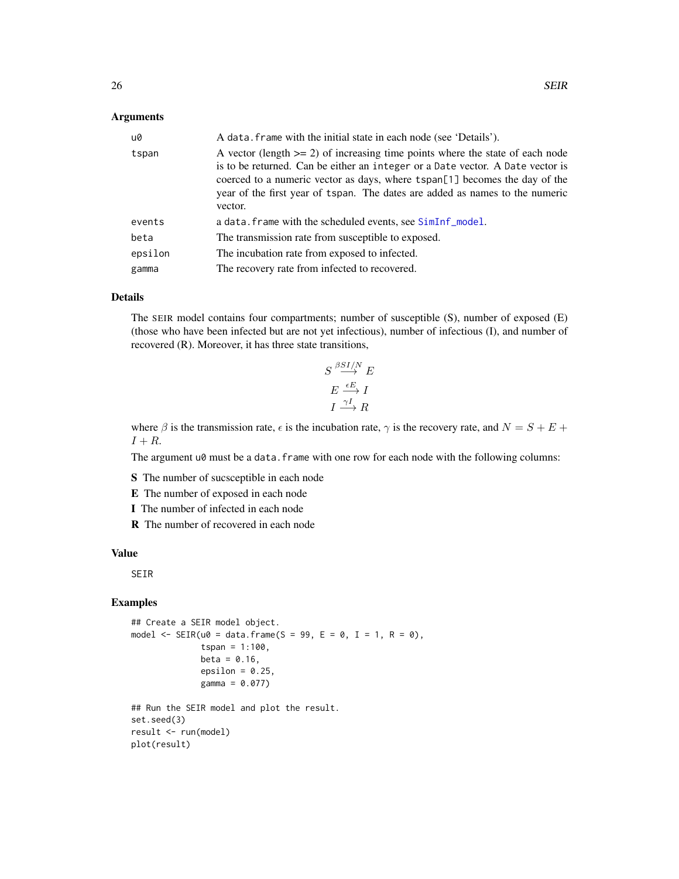# <span id="page-25-0"></span>Arguments

| u0      | A data. frame with the initial state in each node (see 'Details').                                                                                                                                                                                                                                                                          |
|---------|---------------------------------------------------------------------------------------------------------------------------------------------------------------------------------------------------------------------------------------------------------------------------------------------------------------------------------------------|
| tspan   | A vector (length $>= 2$ ) of increasing time points where the state of each node<br>is to be returned. Can be either an integer or a Date vector. A Date vector is<br>coerced to a numeric vector as days, where tspan[1] becomes the day of the<br>year of the first year of tspan. The dates are added as names to the numeric<br>vector. |
| events  | a data. frame with the scheduled events, see SimInf model.                                                                                                                                                                                                                                                                                  |
| beta    | The transmission rate from susceptible to exposed.                                                                                                                                                                                                                                                                                          |
| epsilon | The incubation rate from exposed to infected.                                                                                                                                                                                                                                                                                               |
| gamma   | The recovery rate from infected to recovered.                                                                                                                                                                                                                                                                                               |

# Details

The SEIR model contains four compartments; number of susceptible (S), number of exposed (E) (those who have been infected but are not yet infectious), number of infectious (I), and number of recovered (R). Moreover, it has three state transitions,

$$
S \stackrel{\beta SI/N}{\longrightarrow} E
$$

$$
E \stackrel{\epsilon E}{\longrightarrow} I
$$

$$
I \stackrel{\gamma I}{\longrightarrow} R
$$

where  $\beta$  is the transmission rate,  $\epsilon$  is the incubation rate,  $\gamma$  is the recovery rate, and  $N = S + E +$  $I + R$ .

The argument u0 must be a data.frame with one row for each node with the following columns:

S The number of sucsceptible in each node

- E The number of exposed in each node
- I The number of infected in each node
- R The number of recovered in each node

#### Value

SEIR

```
## Create a SEIR model object.
model \leq SEIR(u0 = data.frame(S = 99, E = 0, I = 1, R = 0),
              tspan = 1:100,beta = 0.16,
              epsilon = 0.25,
              gamma = 0.077)
## Run the SEIR model and plot the result.
```

```
set.seed(3)
result <- run(model)
plot(result)
```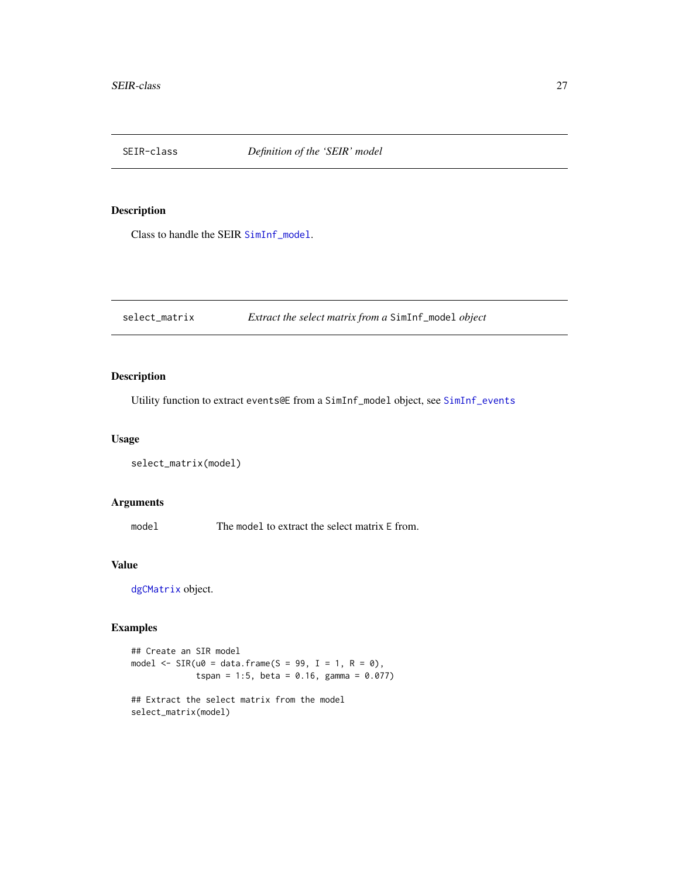<span id="page-26-1"></span><span id="page-26-0"></span>

# Description

Class to handle the SEIR [SimInf\\_model](#page-33-1).

select\_matrix *Extract the select matrix from a* SimInf\_model *object*

# Description

Utility function to extract events@E from a SimInf\_model object, see [SimInf\\_events](#page-32-1)

# Usage

```
select_matrix(model)
```
# Arguments

model The model to extract the select matrix E from.

# Value

[dgCMatrix](#page-0-0) object.

```
## Create an SIR model
model \leq SIR(u0 = data.frame(S = 99, I = 1, R = 0),
             tspan = 1:5, beta = 0.16, gamma = 0.077)
## Extract the select matrix from the model
select_matrix(model)
```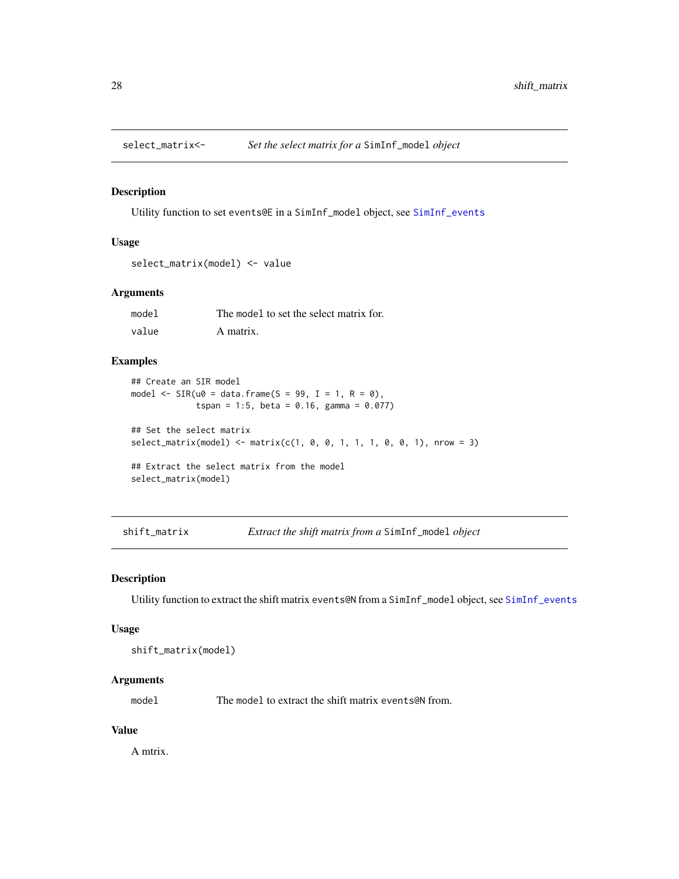<span id="page-27-0"></span>

# Description

Utility function to set events@E in a SimInf\_model object, see [SimInf\\_events](#page-32-1)

# Usage

```
select_matrix(model) <- value
```
# Arguments

| model | The model to set the select matrix for. |
|-------|-----------------------------------------|
| value | A matrix.                               |

# Examples

```
## Create an SIR model
model \leq SIR(u0 = data.frame(S = 99, I = 1, R = 0),
             tspan = 1:5, beta = 0.16, gamma = 0.077)
## Set the select matrix
select_matrix(model) < - matrix(c(1, 0, 0, 1, 1, 1, 0, 0, 1), nrow = 3)## Extract the select matrix from the model
select_matrix(model)
```
shift\_matrix *Extract the shift matrix from a* SimInf\_model *object*

#### Description

Utility function to extract the shift matrix events@N from a SimInf\_model object, see [SimInf\\_events](#page-32-1)

#### Usage

shift\_matrix(model)

# Arguments

model The model to extract the shift matrix events **end** from.

# Value

A mtrix.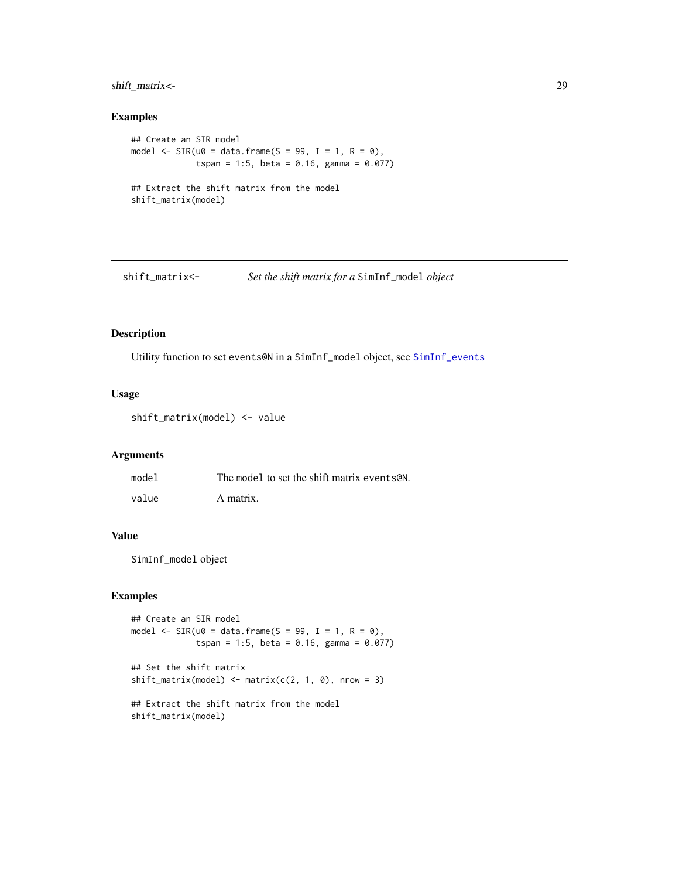# <span id="page-28-0"></span>shift\_matrix<- 29

# Examples

```
## Create an SIR model
model \leq SIR(u0 = data.frame(S = 99, I = 1, R = 0),
             tspan = 1:5, beta = 0.16, gamma = 0.077)
## Extract the shift matrix from the model
shift_matrix(model)
```
shift\_matrix<- *Set the shift matrix for a* SimInf\_model *object*

#### Description

Utility function to set events@N in a SimInf\_model object, see [SimInf\\_events](#page-32-1)

#### Usage

shift\_matrix(model) <- value

# Arguments

| model | The model to set the shift matrix events CN. |
|-------|----------------------------------------------|
| value | A matrix.                                    |

#### Value

SimInf\_model object

```
## Create an SIR model
model \leq SIR(u0 = data.frame(S = 99, I = 1, R = 0),
             tspan = 1:5, beta = 0.16, gamma = 0.077)
```

```
## Set the shift matrix
shift_matrix(model) < - matrix(c(2, 1, 0), nrow = 3)
```

```
## Extract the shift matrix from the model
shift_matrix(model)
```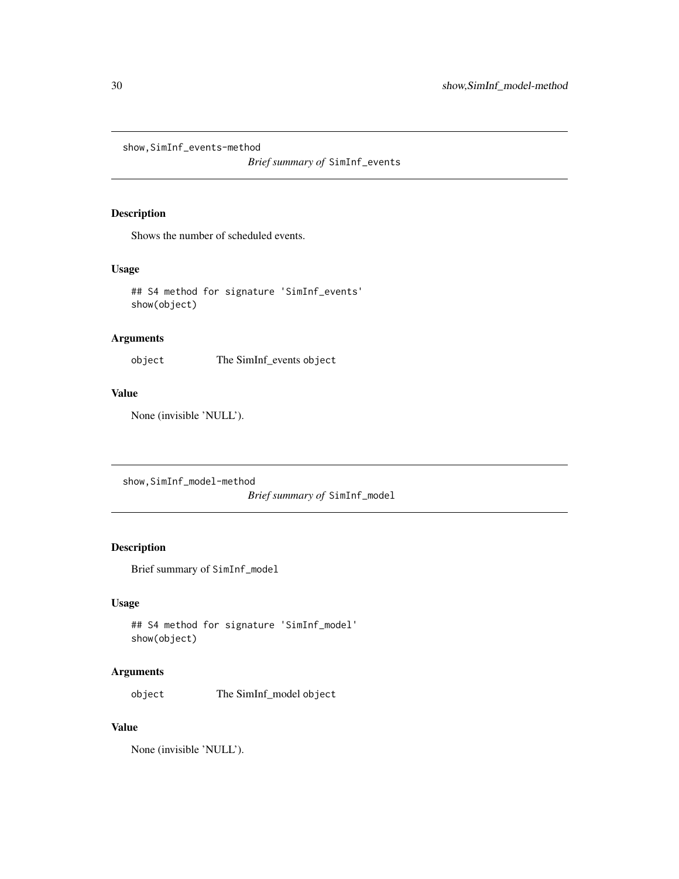<span id="page-29-0"></span>show,SimInf\_events-method

*Brief summary of* SimInf\_events

# Description

Shows the number of scheduled events.

# Usage

## S4 method for signature 'SimInf\_events' show(object)

# Arguments

object The SimInf\_events object

# Value

None (invisible 'NULL').

show,SimInf\_model-method

*Brief summary of* SimInf\_model

# Description

Brief summary of SimInf\_model

# Usage

```
## S4 method for signature 'SimInf_model'
show(object)
```
# Arguments

object The SimInf\_model object

# Value

None (invisible 'NULL').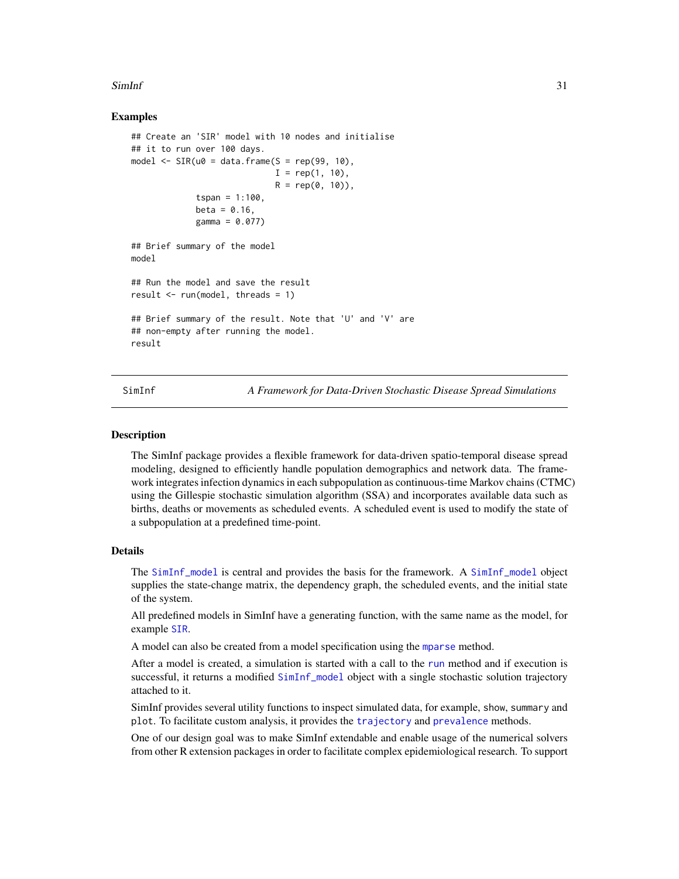#### <span id="page-30-0"></span> $\text{SimInf}$  31

# Examples

```
## Create an 'SIR' model with 10 nodes and initialise
## it to run over 100 days.
model \leq SIR(u0 = data.frame(S = rep(99, 10),
                             I = rep(1, 10),R = rep(0, 10),
             tspan = 1:100,
             beta = 0.16,
             gamma = 0.077)
## Brief summary of the model
model
## Run the model and save the result
result \leq run(model, threads = 1)
## Brief summary of the result. Note that 'U' and 'V' are
## non-empty after running the model.
result
```
SimInf *A Framework for Data-Driven Stochastic Disease Spread Simulations*

#### **Description**

The SimInf package provides a flexible framework for data-driven spatio-temporal disease spread modeling, designed to efficiently handle population demographics and network data. The framework integrates infection dynamics in each subpopulation as continuous-time Markov chains (CTMC) using the Gillespie stochastic simulation algorithm (SSA) and incorporates available data such as births, deaths or movements as scheduled events. A scheduled event is used to modify the state of a subpopulation at a predefined time-point.

## Details

The [SimInf\\_model](#page-34-1) is central and provides the basis for the framework. A [SimInf\\_model](#page-34-1) object supplies the state-change matrix, the dependency graph, the scheduled events, and the initial state of the system.

All predefined models in SimInf have a generating function, with the same name as the model, for example [SIR](#page-35-1).

A model can also be created from a model specification using the [mparse](#page-13-1) method.

After a model is created, a simulation is started with a call to the [run](#page-22-1) method and if execution is successful, it returns a modified [SimInf\\_model](#page-34-1) object with a single stochastic solution trajectory attached to it.

SimInf provides several utility functions to inspect simulated data, for example, show, summary and plot. To facilitate custom analysis, it provides the [trajectory](#page-47-1) and [prevalence](#page-20-1) methods.

One of our design goal was to make SimInf extendable and enable usage of the numerical solvers from other R extension packages in order to facilitate complex epidemiological research. To support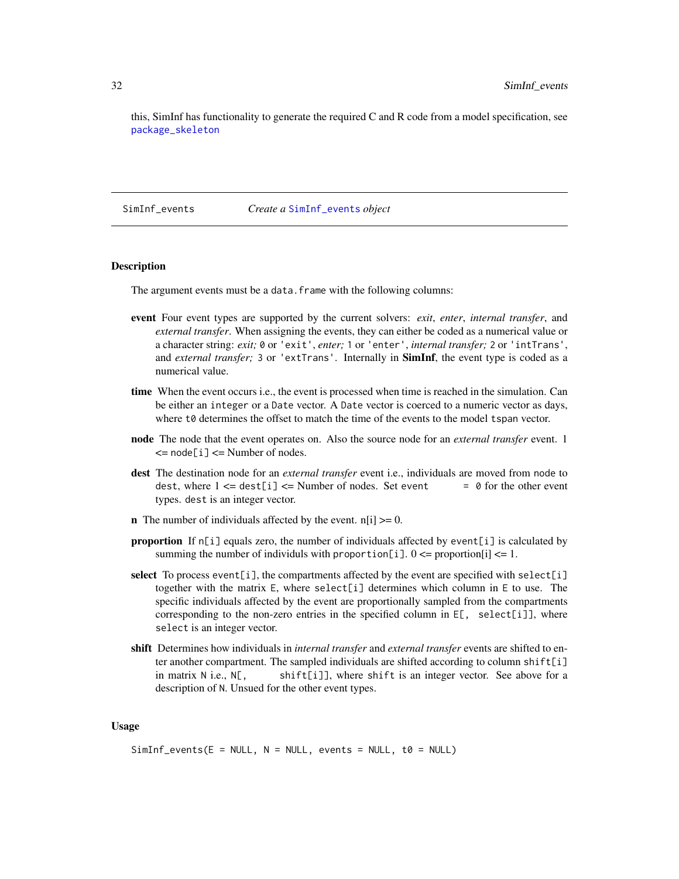<span id="page-31-0"></span>this, SimInf has functionality to generate the required C and R code from a model specification, see [package\\_skeleton](#page-17-1)

SimInf\_events *Create a* [SimInf\\_events](#page-32-1) *object*

# Description

The argument events must be a data. frame with the following columns:

- event Four event types are supported by the current solvers: *exit*, *enter*, *internal transfer*, and *external transfer*. When assigning the events, they can either be coded as a numerical value or a character string: *exit;* 0 or 'exit', *enter;* 1 or 'enter', *internal transfer;* 2 or 'intTrans', and *external transfer;* 3 or 'extTrans'. Internally in **SimInf**, the event type is coded as a numerical value.
- time When the event occurs i.e., the event is processed when time is reached in the simulation. Can be either an integer or a Date vector. A Date vector is coerced to a numeric vector as days, where t<sub>0</sub> determines the offset to match the time of the events to the model tspan vector.
- node The node that the event operates on. Also the source node for an *external transfer* event. 1  $\leq$  node[i]  $\leq$  Number of nodes.
- dest The destination node for an *external transfer* event i.e., individuals are moved from node to dest, where  $1 \leq -$  dest[i]  $\leq$  Number of nodes. Set event  $\qquad = 0$  for the other event types. dest is an integer vector.
- **n** The number of individuals affected by the event.  $n[i] \ge 0$ .
- **proportion** If  $n[i]$  equals zero, the number of individuals affected by event[i] is calculated by summing the number of individuls with proportion[i].  $0 \leq$  proportion[i]  $\leq$  1.
- select To process event [i], the compartments affected by the event are specified with select [i] together with the matrix  $E$ , where select [i] determines which column in  $E$  to use. The specific individuals affected by the event are proportionally sampled from the compartments corresponding to the non-zero entries in the specified column in  $E$ [, select[i]], where select is an integer vector.
- shift Determines how individuals in *internal transfer* and *external transfer* events are shifted to enter another compartment. The sampled individuals are shifted according to column shift[i] in matrix  $N$  i.e.,  $N[\,$ , shift[i]], where shift is an integer vector. See above for a description of N. Unsued for the other event types.

#### Usage

```
SimInf_events(E = NULL, N = NULL, events = NULL, to = NULL)
```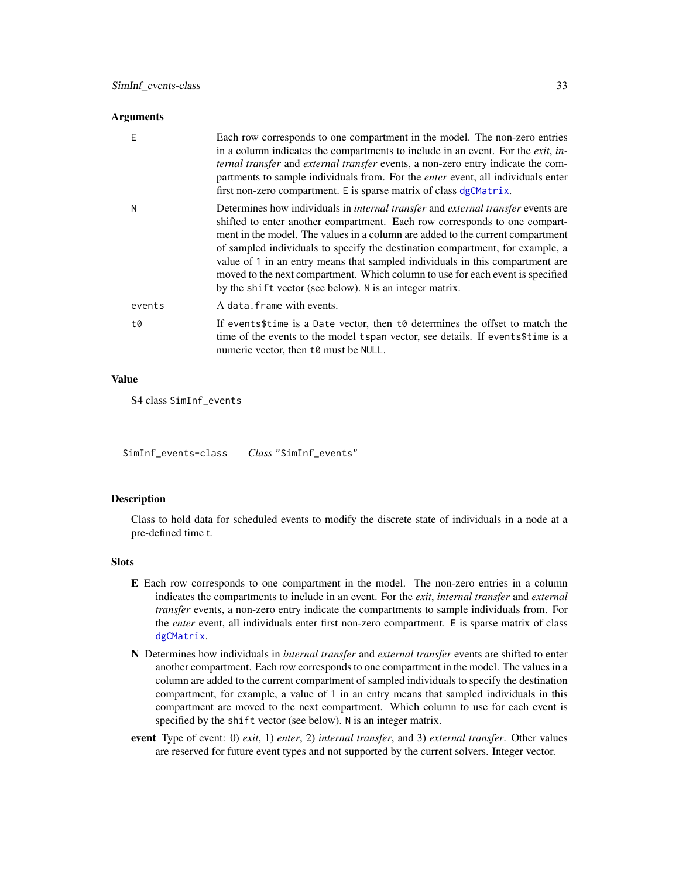#### <span id="page-32-0"></span>**Arguments**

| F      | Each row corresponds to one compartment in the model. The non-zero entries<br>in a column indicates the compartments to include in an event. For the <i>exit</i> , in-<br>ternal transfer and external transfer events, a non-zero entry indicate the com-<br>partments to sample individuals from. For the <i>enter</i> event, all individuals enter<br>first non-zero compartment. E is sparse matrix of class dgCMatrix.                                                                                                                                                    |
|--------|--------------------------------------------------------------------------------------------------------------------------------------------------------------------------------------------------------------------------------------------------------------------------------------------------------------------------------------------------------------------------------------------------------------------------------------------------------------------------------------------------------------------------------------------------------------------------------|
| N      | Determines how individuals in <i>internal transfer</i> and <i>external transfer</i> events are<br>shifted to enter another compartment. Each row corresponds to one compart-<br>ment in the model. The values in a column are added to the current compartment<br>of sampled individuals to specify the destination compartment, for example, a<br>value of 1 in an entry means that sampled individuals in this compartment are<br>moved to the next compartment. Which column to use for each event is specified<br>by the shift vector (see below). N is an integer matrix. |
| events | A data. frame with events.                                                                                                                                                                                                                                                                                                                                                                                                                                                                                                                                                     |
| t0     | If events\$time is a Date vector, then to determines the offset to match the<br>time of the events to the model tspan vector, see details. If events\$time is a<br>numeric vector, then to must be NULL.                                                                                                                                                                                                                                                                                                                                                                       |

# Value

S4 class SimInf\_events

<span id="page-32-1"></span>SimInf\_events-class *Class* "SimInf\_events"

# Description

Class to hold data for scheduled events to modify the discrete state of individuals in a node at a pre-defined time t.

# Slots

- E Each row corresponds to one compartment in the model. The non-zero entries in a column indicates the compartments to include in an event. For the *exit*, *internal transfer* and *external transfer* events, a non-zero entry indicate the compartments to sample individuals from. For the *enter* event, all individuals enter first non-zero compartment. E is sparse matrix of class [dgCMatrix](#page-0-0).
- N Determines how individuals in *internal transfer* and *external transfer* events are shifted to enter another compartment. Each row corresponds to one compartment in the model. The values in a column are added to the current compartment of sampled individuals to specify the destination compartment, for example, a value of 1 in an entry means that sampled individuals in this compartment are moved to the next compartment. Which column to use for each event is specified by the shift vector (see below). N is an integer matrix.
- event Type of event: 0) *exit*, 1) *enter*, 2) *internal transfer*, and 3) *external transfer*. Other values are reserved for future event types and not supported by the current solvers. Integer vector.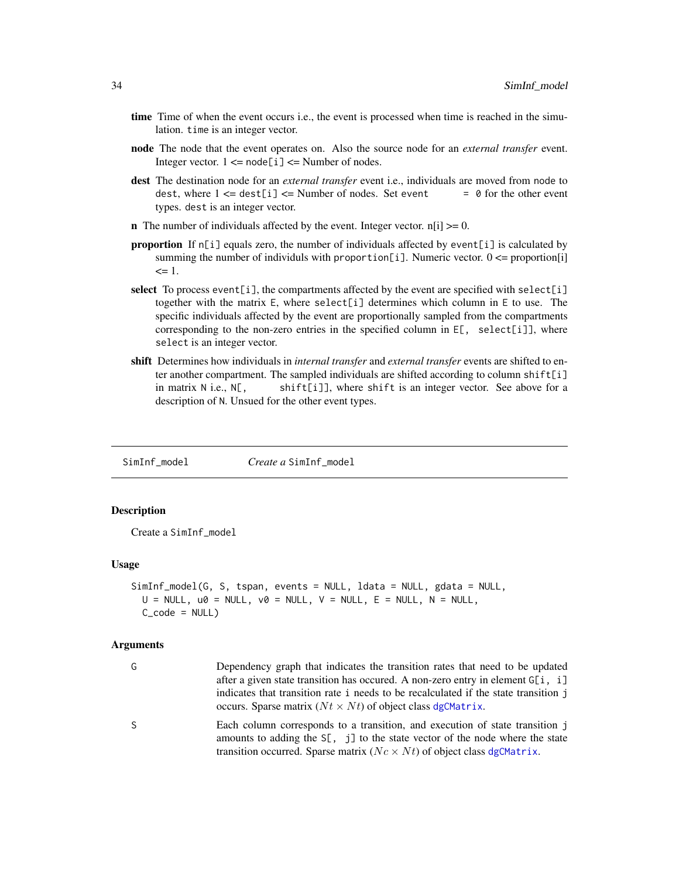- <span id="page-33-0"></span>time Time of when the event occurs i.e., the event is processed when time is reached in the simulation. time is an integer vector.
- node The node that the event operates on. Also the source node for an *external transfer* event. Integer vector.  $1 \leq -$  node[i]  $\leq$  Number of nodes.
- dest The destination node for an *external transfer* event i.e., individuals are moved from node to dest, where  $1 \leq z$  dest[i]  $\leq$  Number of nodes. Set event  $\qquad = 0$  for the other event types. dest is an integer vector.
- **n** The number of individuals affected by the event. Integer vector.  $n[i] \ge 0$ .
- proportion If  $n[i]$  equals zero, the number of individuals affected by event[i] is calculated by summing the number of individuls with proportion[i]. Numeric vector.  $0 \leq p$  proportion[i]  $\leq 1$ .
- select To process event [i], the compartments affected by the event are specified with select [i] together with the matrix E, where select[i] determines which column in E to use. The specific individuals affected by the event are proportionally sampled from the compartments corresponding to the non-zero entries in the specified column in E[, select[i]], where select is an integer vector.
- shift Determines how individuals in *internal transfer* and *external transfer* events are shifted to enter another compartment. The sampled individuals are shifted according to column shift[i] in matrix  $N$  i.e.,  $N[\,$ , shift[i]], where shift is an integer vector. See above for a description of N. Unsued for the other event types.

<span id="page-33-1"></span>SimInf\_model *Create a* SimInf\_model

# Description

Create a SimInf\_model

#### Usage

```
SimInf_model(G, S, tspan, events = NULL, ldata = NULL, gdata = NULL,
 U = NULL, u0 = NULL, v0 = NULL, V = NULL, E = NULL, N = NULL,
 C code = NULL)
```
#### Arguments

| G  | Dependency graph that indicates the transition rates that need to be updated                                                                                         |
|----|----------------------------------------------------------------------------------------------------------------------------------------------------------------------|
|    | after a given state transition has occurred. A non-zero entry in element G[i, i]                                                                                     |
|    | indicates that transition rate i needs to be recalculated if the state transition j                                                                                  |
|    | occurs. Sparse matrix $(Nt \times Nt)$ of object class dgCMatrix.                                                                                                    |
| S. | Each column corresponds to a transition, and execution of state transition j<br>amounts to adding the $S[\, , \, j]$ to the state vector of the node where the state |
|    | transition occurred. Sparse matrix ( $Nc \times Nt$ ) of object class dgCMatrix.                                                                                     |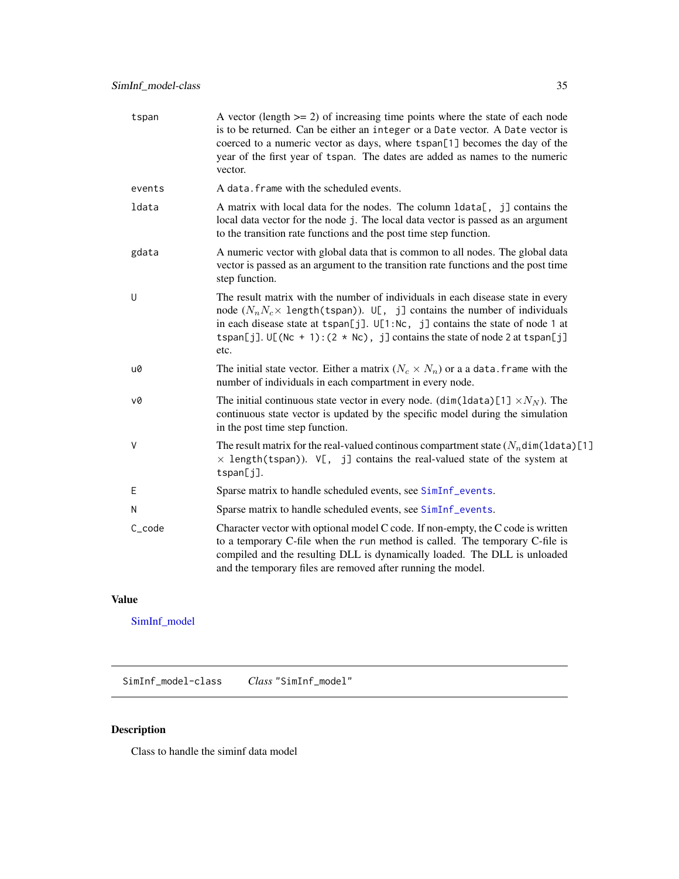<span id="page-34-0"></span>

| tspan   | A vector (length $>= 2$ ) of increasing time points where the state of each node<br>is to be returned. Can be either an integer or a Date vector. A Date vector is<br>coerced to a numeric vector as days, where tspan[1] becomes the day of the<br>year of the first year of tspan. The dates are added as names to the numeric<br>vector.                 |
|---------|-------------------------------------------------------------------------------------------------------------------------------------------------------------------------------------------------------------------------------------------------------------------------------------------------------------------------------------------------------------|
| events  | A data, frame with the scheduled events.                                                                                                                                                                                                                                                                                                                    |
| ldata   | A matrix with local data for the nodes. The column 1data[, j] contains the<br>local data vector for the node j. The local data vector is passed as an argument<br>to the transition rate functions and the post time step function.                                                                                                                         |
| gdata   | A numeric vector with global data that is common to all nodes. The global data<br>vector is passed as an argument to the transition rate functions and the post time<br>step function.                                                                                                                                                                      |
| U       | The result matrix with the number of individuals in each disease state in every<br>node $(N_n N_c \times \text{length}(\text{tspan}))$ . U[, j] contains the number of individuals<br>in each disease state at tspan[j]. U[1:Nc, j] contains the state of node 1 at<br>tspan[j]. $U[(Nc + 1):(2 * Nc), j]$ contains the state of node 2 at tspan[j]<br>etc. |
| u0      | The initial state vector. Either a matrix $(N_c \times N_n)$ or a a data. frame with the<br>number of individuals in each compartment in every node.                                                                                                                                                                                                        |
| v0      | The initial continuous state vector in every node. (dim(ldata)[1] $\times N_N$ ). The<br>continuous state vector is updated by the specific model during the simulation<br>in the post time step function.                                                                                                                                                  |
| $\sf V$ | The result matrix for the real-valued continuous compartment state $(N_n \text{dim}(1 \text{data})[1]$<br>$\times$ length(tspan)). V[, j] contains the real-valued state of the system at<br>tspan[j].                                                                                                                                                      |
| Ε       | Sparse matrix to handle scheduled events, see SimInf_events.                                                                                                                                                                                                                                                                                                |
| N       | Sparse matrix to handle scheduled events, see SimInf_events.                                                                                                                                                                                                                                                                                                |
| C_code  | Character vector with optional model C code. If non-empty, the C code is written<br>to a temporary C-file when the run method is called. The temporary C-file is<br>compiled and the resulting DLL is dynamically loaded. The DLL is unloaded<br>and the temporary files are removed after running the model.                                               |

# Value

[SimInf\\_model](#page-34-1)

<span id="page-34-1"></span>SimInf\_model-class *Class* "SimInf\_model"

# Description

Class to handle the siminf data model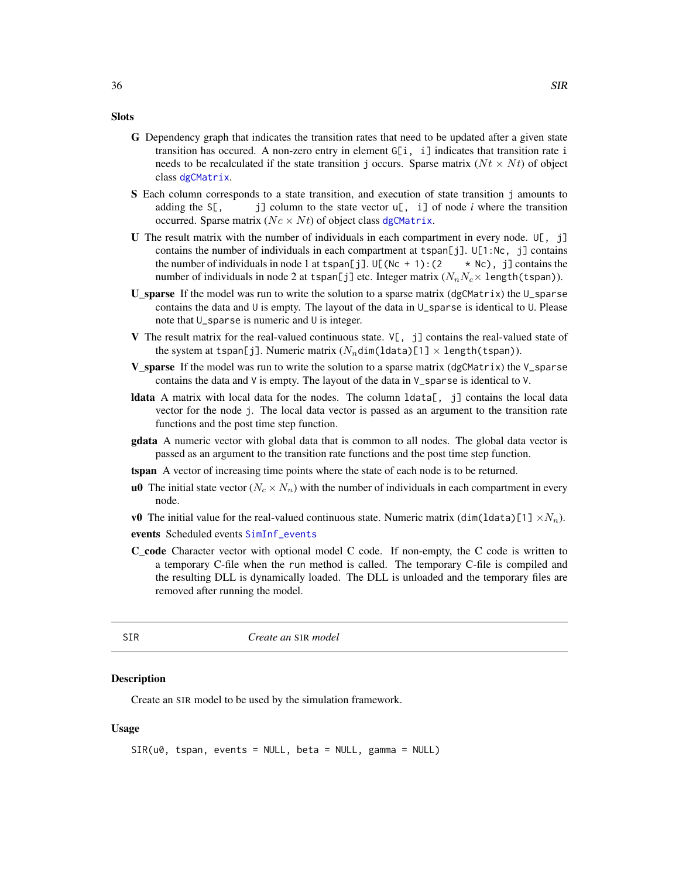#### <span id="page-35-0"></span>**Slots**

- G Dependency graph that indicates the transition rates that need to be updated after a given state transition has occured. A non-zero entry in element  $G[i, i]$  indicates that transition rate i needs to be recalculated if the state transition j occurs. Sparse matrix  $(Nt \times Nt)$  of object class [dgCMatrix](#page-0-0).
- S Each column corresponds to a state transition, and execution of state transition j amounts to adding the  $S[\, , \, j]$  column to the state vector u[, i] of node *i* where the transition occurred. Sparse matrix ( $Nc \times Nt$ ) of object class [dgCMatrix](#page-0-0).
- U The result matrix with the number of individuals in each compartment in every node.  $\mathsf{U}[\cdot, \cdot]$ contains the number of individuals in each compartment at tspan[j].  $U[1:Nc, j]$  contains the number of individuals in node 1 at tspan[j].  $U[(Nc + 1):(2 \times Nc)]$  contains the number of individuals in node 2 at tspan[j] etc. Integer matrix  $(N_nN_c\times$  length(tspan)).
- **U\_sparse** If the model was run to write the solution to a sparse matrix (dgCMatrix) the U\_sparse contains the data and U is empty. The layout of the data in U\_sparse is identical to U. Please note that U\_sparse is numeric and U is integer.
- V The result matrix for the real-valued continuous state.  $V[\cdot, j]$  contains the real-valued state of the system at tspan[j]. Numeric matrix  $(N_n \text{dim}( \text{data})[1] \times \text{length}(\text{tspan}))$ .
- **V\_sparse** If the model was run to write the solution to a sparse matrix (dgCMatrix) the V\_sparse contains the data and  $V$  is empty. The layout of the data in  $V$  sparse is identical to  $V$ .
- **Idata** A matrix with local data for the nodes. The column  $ldata$ , j contains the local data vector for the node j. The local data vector is passed as an argument to the transition rate functions and the post time step function.
- gdata A numeric vector with global data that is common to all nodes. The global data vector is passed as an argument to the transition rate functions and the post time step function.
- tspan A vector of increasing time points where the state of each node is to be returned.
- **u0** The initial state vector ( $N_c \times N_n$ ) with the number of individuals in each compartment in every node.
- v0 The initial value for the real-valued continuous state. Numeric matrix  $(\text{dim}(\text{data})[1] \times N_n)$ .

events Scheduled events [SimInf\\_events](#page-32-1)

C\_code Character vector with optional model C code. If non-empty, the C code is written to a temporary C-file when the run method is called. The temporary C-file is compiled and the resulting DLL is dynamically loaded. The DLL is unloaded and the temporary files are removed after running the model.

<span id="page-35-1"></span>SIR *Create an* SIR *model*

#### **Description**

Create an SIR model to be used by the simulation framework.

#### Usage

```
SIR(u0, tspan, events = NULL, beta = NULL, gamma = NULL)
```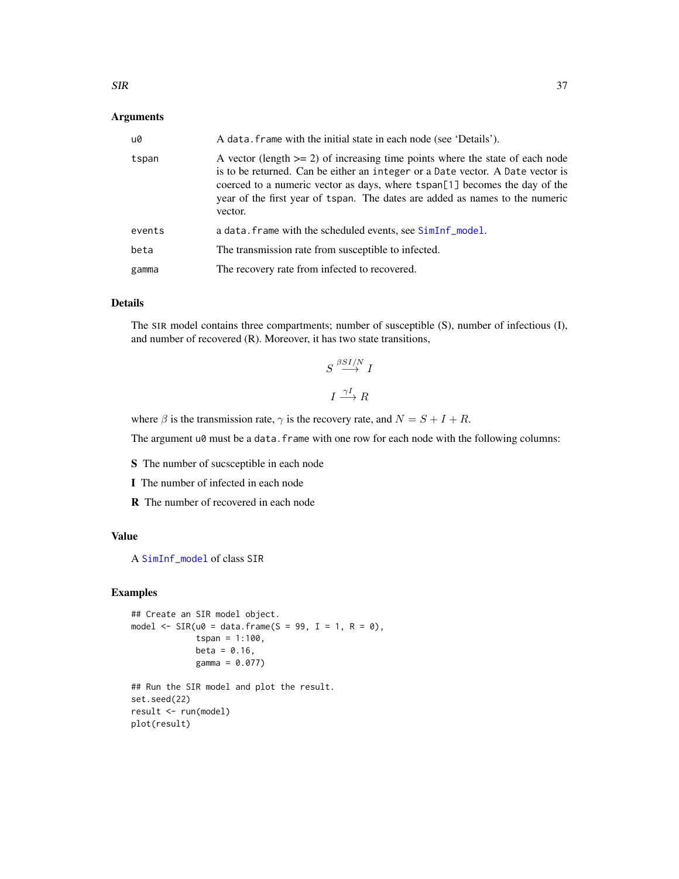# <span id="page-36-0"></span>Arguments

| u0     | A data. frame with the initial state in each node (see 'Details').                                                                                                                                                                                                                                                                          |
|--------|---------------------------------------------------------------------------------------------------------------------------------------------------------------------------------------------------------------------------------------------------------------------------------------------------------------------------------------------|
| tspan  | A vector (length $>= 2$ ) of increasing time points where the state of each node<br>is to be returned. Can be either an integer or a Date vector. A Date vector is<br>coerced to a numeric vector as days, where tspan[1] becomes the day of the<br>year of the first year of tspan. The dates are added as names to the numeric<br>vector. |
| events | a data. frame with the scheduled events, see SimInf_model.                                                                                                                                                                                                                                                                                  |
| beta   | The transmission rate from susceptible to infected.                                                                                                                                                                                                                                                                                         |
| gamma  | The recovery rate from infected to recovered.                                                                                                                                                                                                                                                                                               |

# Details

The SIR model contains three compartments; number of susceptible (S), number of infectious (I), and number of recovered (R). Moreover, it has two state transitions,

$$
S \stackrel{\beta SI/N}{\longrightarrow} I
$$

$$
I \stackrel{\gamma I}{\longrightarrow} R
$$

where  $\beta$  is the transmission rate,  $\gamma$  is the recovery rate, and  $N = S + I + R$ .

The argument u0 must be a data.frame with one row for each node with the following columns:

S The number of sucsceptible in each node

I The number of infected in each node

R The number of recovered in each node

# Value

A [SimInf\\_model](#page-33-1) of class SIR

```
## Create an SIR model object.
model \leq SIR(u0 = data.frame(S = 99, I = 1, R = 0),
             tspan = 1:100,
             beta = 0.16,
             gamma = 0.077)
```

```
## Run the SIR model and plot the result.
set.seed(22)
result <- run(model)
plot(result)
```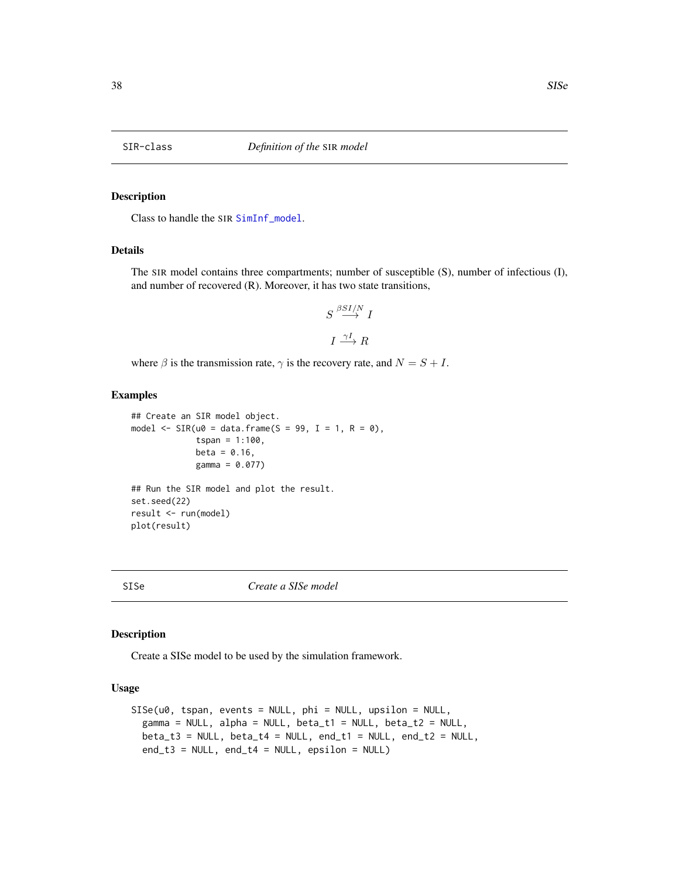<span id="page-37-1"></span><span id="page-37-0"></span>

# Description

Class to handle the SIR [SimInf\\_model](#page-33-1).

# Details

The SIR model contains three compartments; number of susceptible (S), number of infectious (I), and number of recovered (R). Moreover, it has two state transitions,

$$
S \stackrel{\beta SI/N}{\longrightarrow} I
$$

$$
I \stackrel{\gamma I}{\longrightarrow} R
$$

where  $\beta$  is the transmission rate,  $\gamma$  is the recovery rate, and  $N = S + I$ .

#### Examples

```
## Create an SIR model object.
model \leq SIR(u0 = data.frame(S = 99, I = 1, R = 0),
             tspan = 1:100,beta = 0.16,
             gamma = 0.077)
## Run the SIR model and plot the result.
set.seed(22)
```
result <- run(model) plot(result)

SISe *Create a SISe model*

# Description

Create a SISe model to be used by the simulation framework.

### Usage

```
SISe(u0, tspan, events = NULL, phi = NULL, upsilon = NULL,
  gamma = NULL, alpha = NULL, beta_t1 = NULL, beta_t2 = NULL,
  beta_t3 = NULL, beta_t4 = NULL, end_t1 = NULL, end_t2 = NULL,
  end_t3 = NULL, end_t4 = NULL, epsilon, epsilon = NULL, epsilon
```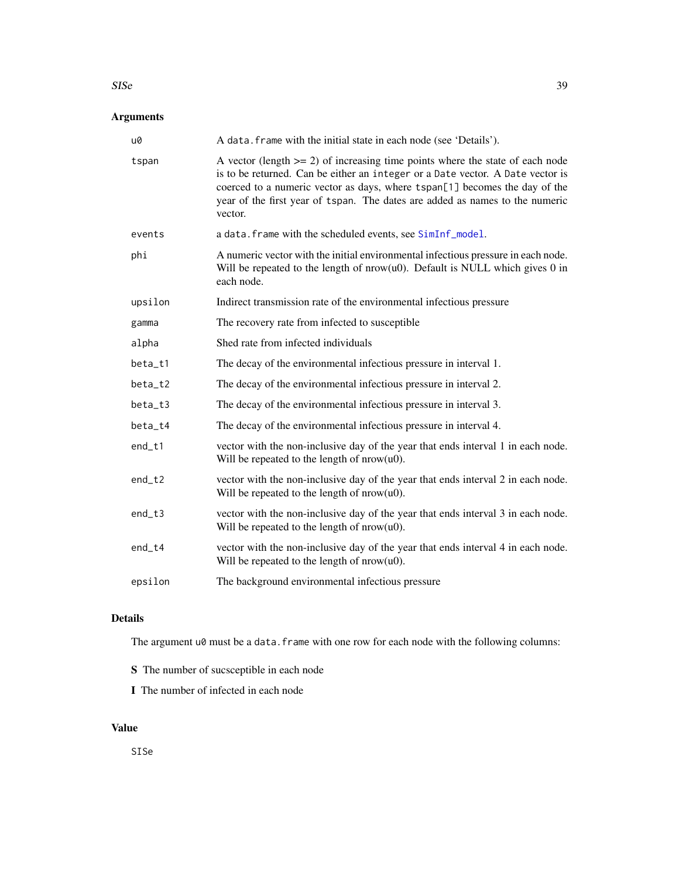#### $SISe$  39

# Arguments

| u0       | A data. frame with the initial state in each node (see 'Details').                                                                                                                                                                                                                                                                          |
|----------|---------------------------------------------------------------------------------------------------------------------------------------------------------------------------------------------------------------------------------------------------------------------------------------------------------------------------------------------|
| tspan    | A vector (length $>= 2$ ) of increasing time points where the state of each node<br>is to be returned. Can be either an integer or a Date vector. A Date vector is<br>coerced to a numeric vector as days, where tspan[1] becomes the day of the<br>year of the first year of tspan. The dates are added as names to the numeric<br>vector. |
| events   | a data. frame with the scheduled events, see SimInf_model.                                                                                                                                                                                                                                                                                  |
| phi      | A numeric vector with the initial environmental infectious pressure in each node.<br>Will be repeated to the length of $nrow(u0)$ . Default is NULL which gives 0 in<br>each node.                                                                                                                                                          |
| upsilon  | Indirect transmission rate of the environmental infectious pressure                                                                                                                                                                                                                                                                         |
| gamma    | The recovery rate from infected to susceptible                                                                                                                                                                                                                                                                                              |
| alpha    | Shed rate from infected individuals                                                                                                                                                                                                                                                                                                         |
| beta_t1  | The decay of the environmental infectious pressure in interval 1.                                                                                                                                                                                                                                                                           |
| beta_t2  | The decay of the environmental infectious pressure in interval 2.                                                                                                                                                                                                                                                                           |
| beta_t3  | The decay of the environmental infectious pressure in interval 3.                                                                                                                                                                                                                                                                           |
| beta_t4  | The decay of the environmental infectious pressure in interval 4.                                                                                                                                                                                                                                                                           |
| end_t1   | vector with the non-inclusive day of the year that ends interval 1 in each node.<br>Will be repeated to the length of $nrow(u0)$ .                                                                                                                                                                                                          |
| end_t2   | vector with the non-inclusive day of the year that ends interval 2 in each node.<br>Will be repeated to the length of $nrow(u0)$ .                                                                                                                                                                                                          |
| $end_t3$ | vector with the non-inclusive day of the year that ends interval 3 in each node.<br>Will be repeated to the length of $nrow(u0)$ .                                                                                                                                                                                                          |
| $end_t4$ | vector with the non-inclusive day of the year that ends interval 4 in each node.<br>Will be repeated to the length of $nrow(u0)$ .                                                                                                                                                                                                          |
| epsilon  | The background environmental infectious pressure                                                                                                                                                                                                                                                                                            |
|          |                                                                                                                                                                                                                                                                                                                                             |

# Details

The argument u0 must be a data.frame with one row for each node with the following columns:

- S The number of sucsceptible in each node
- I The number of infected in each node

# Value

SISe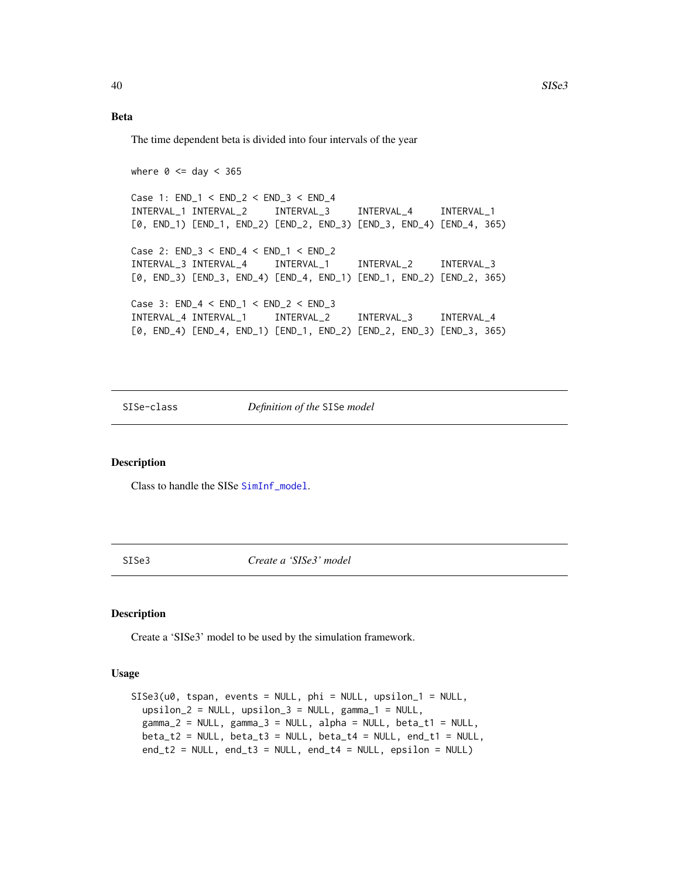# Beta

The time dependent beta is divided into four intervals of the year

where  $0 \leq 1$  day  $< 365$ Case 1: END\_1 < END\_2 < END\_3 < END\_4 INTERVAL\_1 INTERVAL\_2 INTERVAL\_3 INTERVAL\_4 INTERVAL\_1 [0, END\_1) [END\_1, END\_2) [END\_2, END\_3) [END\_3, END\_4) [END\_4, 365) Case 2: END\_3 < END\_4 < END\_1 < END\_2 INTERVAL\_3 INTERVAL\_4 INTERVAL\_1 INTERVAL\_2 INTERVAL\_3 [0, END\_3) [END\_3, END\_4) [END\_4, END\_1) [END\_1, END\_2) [END\_2, 365) Case 3: END\_4 < END\_1 < END\_2 < END\_3 INTERVAL\_4 INTERVAL\_1 INTERVAL\_2 INTERVAL\_3 INTERVAL\_4 [0, END\_4) [END\_4, END\_1) [END\_1, END\_2) [END\_2, END\_3) [END\_3, 365)

<span id="page-39-1"></span>SISe-class *Definition of the* SISe *model*

#### Description

Class to handle the SISe [SimInf\\_model](#page-33-1).

SISe3 *Create a 'SISe3' model*

#### Description

Create a 'SISe3' model to be used by the simulation framework.

#### Usage

```
SISe3(u0, tspan, events = NULL, phi = NULL, upsilon_1 = NULL,
 upsilon_2 = NULL, upsilon_3 = NULL, gamma_1 = NULL,
 gamma_2 = NULL, gamma_3 = NULL, alpha = NULL, beta_t1 = NULL,
 beta_t2 = NULL, beta_t3 = NULL, beta_t4 = NULL, end_t1 = NULL,
 end_t2 = NULL, end_t3 = NULL, end_t4 = NULL, epsilon, epsilon
```
<span id="page-39-0"></span>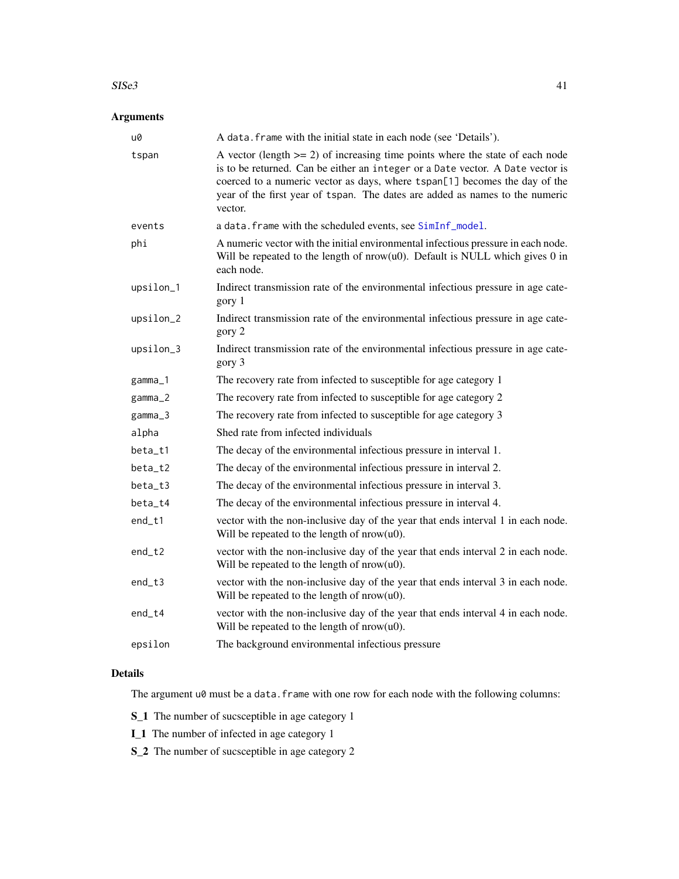#### $SISE3$  41

# Arguments

| u0        | A data. frame with the initial state in each node (see 'Details').                                                                                                                                                                                                                                                                          |
|-----------|---------------------------------------------------------------------------------------------------------------------------------------------------------------------------------------------------------------------------------------------------------------------------------------------------------------------------------------------|
| tspan     | A vector (length $>= 2$ ) of increasing time points where the state of each node<br>is to be returned. Can be either an integer or a Date vector. A Date vector is<br>coerced to a numeric vector as days, where tspan[1] becomes the day of the<br>year of the first year of tspan. The dates are added as names to the numeric<br>vector. |
| events    | a data. frame with the scheduled events, see SimInf_model.                                                                                                                                                                                                                                                                                  |
| phi       | A numeric vector with the initial environmental infectious pressure in each node.<br>Will be repeated to the length of $nrow(u0)$ . Default is NULL which gives 0 in<br>each node.                                                                                                                                                          |
| upsilon_1 | Indirect transmission rate of the environmental infectious pressure in age cate-<br>gory 1                                                                                                                                                                                                                                                  |
| upsilon_2 | Indirect transmission rate of the environmental infectious pressure in age cate-<br>gory 2                                                                                                                                                                                                                                                  |
| upsilon_3 | Indirect transmission rate of the environmental infectious pressure in age cate-<br>gory 3                                                                                                                                                                                                                                                  |
| gamma_1   | The recovery rate from infected to susceptible for age category 1                                                                                                                                                                                                                                                                           |
| gamma_2   | The recovery rate from infected to susceptible for age category 2                                                                                                                                                                                                                                                                           |
| gamma_3   | The recovery rate from infected to susceptible for age category 3                                                                                                                                                                                                                                                                           |
| alpha     | Shed rate from infected individuals                                                                                                                                                                                                                                                                                                         |
| beta_t1   | The decay of the environmental infectious pressure in interval 1.                                                                                                                                                                                                                                                                           |
| beta_t2   | The decay of the environmental infectious pressure in interval 2.                                                                                                                                                                                                                                                                           |
| beta_t3   | The decay of the environmental infectious pressure in interval 3.                                                                                                                                                                                                                                                                           |
| beta_t4   | The decay of the environmental infectious pressure in interval 4.                                                                                                                                                                                                                                                                           |
| end_t1    | vector with the non-inclusive day of the year that ends interval 1 in each node.<br>Will be repeated to the length of $nrow(u0)$ .                                                                                                                                                                                                          |
| end_t2    | vector with the non-inclusive day of the year that ends interval 2 in each node.<br>Will be repeated to the length of $nrow(u0)$ .                                                                                                                                                                                                          |
| end_t3    | vector with the non-inclusive day of the year that ends interval 3 in each node.<br>Will be repeated to the length of $nrow(u0)$ .                                                                                                                                                                                                          |
| end_t4    | vector with the non-inclusive day of the year that ends interval 4 in each node.<br>Will be repeated to the length of $nrow(u0)$ .                                                                                                                                                                                                          |
| epsilon   | The background environmental infectious pressure                                                                                                                                                                                                                                                                                            |

# Details

The argument  $u\emptyset$  must be a data. frame with one row for each node with the following columns:

S\_1 The number of sucsceptible in age category 1

I\_1 The number of infected in age category 1

S\_2 The number of sucsceptible in age category 2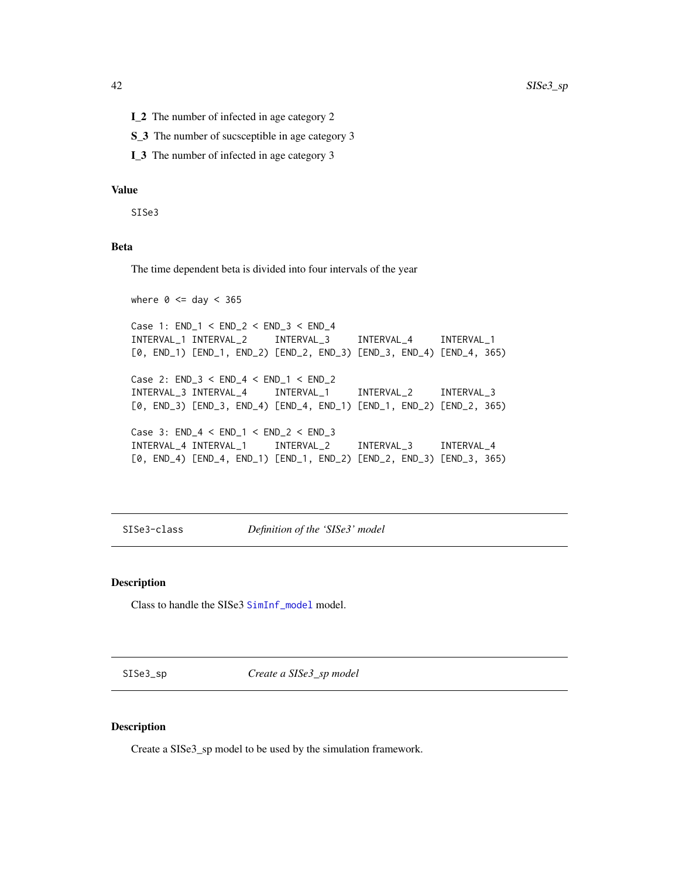- <span id="page-41-0"></span>I\_2 The number of infected in age category 2
- S\_3 The number of sucsceptible in age category 3
- I\_3 The number of infected in age category 3

### Value

SISe3

# Beta

The time dependent beta is divided into four intervals of the year

```
where 0 \leq 1 day < 365Case 1: END_1 < END_2 < END_3 < END_4
INTERVAL_1 INTERVAL_2 INTERVAL_3 INTERVAL_4 INTERVAL_1
[0, END_1) [END_1, END_2) [END_2, END_3) [END_3, END_4) [END_4, 365)
Case 2: END_3 < END_4 < END_1 < END_2
INTERVAL_3 INTERVAL_4 INTERVAL_1 INTERVAL_2 INTERVAL_3
[0, END_3) [END_3, END_4) [END_4, END_1) [END_1, END_2) [END_2, 365)
Case 3: END_4 < END_1 < END_2 < END_3
INTERVAL_4 INTERVAL_1 INTERVAL_2 INTERVAL_3 INTERVAL_4
[0, END_4) [END_4, END_1) [END_1, END_2) [END_2, END_3) [END_3, 365)
```
<span id="page-41-1"></span>SISe3-class *Definition of the 'SISe3' model*

# Description

Class to handle the SISe3 [SimInf\\_model](#page-33-1) model.

SISe3\_sp *Create a SISe3\_sp model*

# Description

Create a SISe3\_sp model to be used by the simulation framework.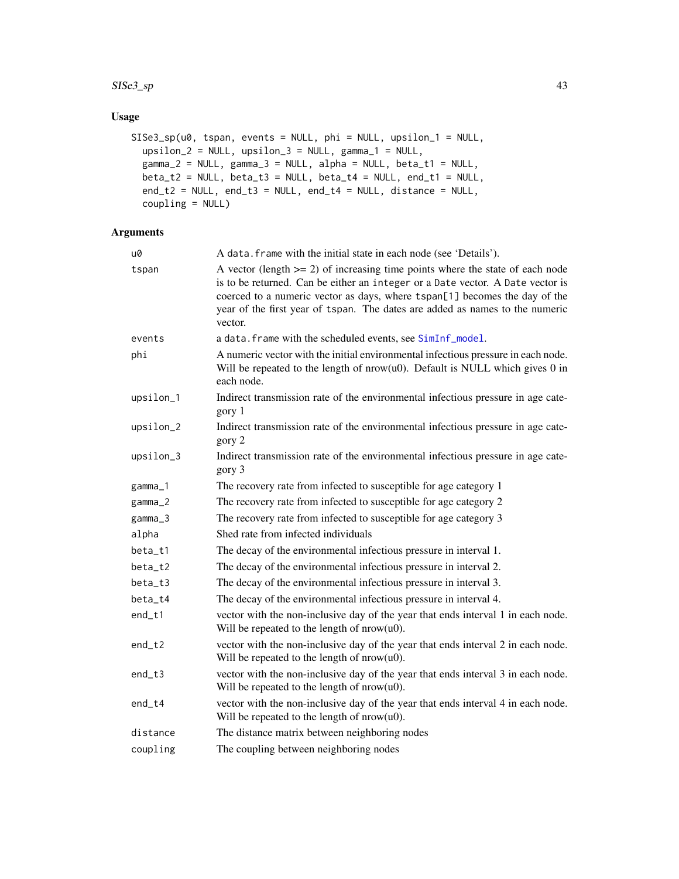#### $SISe3_sp$  43

# Usage

```
SISe3_sp(u0, tspan, events = NULL, phi = NULL, upsilon_1 = NULL,
 upsilon_2 = NULL, upsilon_3 = NULL, gamma_1 = NULL,
 gamma_2 = NULL, gamma_3 = NULL, alpha = NULL, beta = NULL, beta_1 = NULL,
 beta_t2 = NULL, beta_t3 = NULL, beta_t4 = NULL, end_t1 = NULL,
 end_t2 = NULL, end_t3 = NULL, end_t4 = NULL, distance = NULL,
  coupling = NULL)
```
# Arguments

| u0        | A data. frame with the initial state in each node (see 'Details').                                                                                                                                                                                                                                                                          |
|-----------|---------------------------------------------------------------------------------------------------------------------------------------------------------------------------------------------------------------------------------------------------------------------------------------------------------------------------------------------|
| tspan     | A vector (length $>= 2$ ) of increasing time points where the state of each node<br>is to be returned. Can be either an integer or a Date vector. A Date vector is<br>coerced to a numeric vector as days, where tspan[1] becomes the day of the<br>year of the first year of tspan. The dates are added as names to the numeric<br>vector. |
| events    | a data. frame with the scheduled events, see SimInf_model.                                                                                                                                                                                                                                                                                  |
| phi       | A numeric vector with the initial environmental infectious pressure in each node.<br>Will be repeated to the length of $nrow(u0)$ . Default is NULL which gives 0 in<br>each node.                                                                                                                                                          |
| upsilon_1 | Indirect transmission rate of the environmental infectious pressure in age cate-<br>gory 1                                                                                                                                                                                                                                                  |
| upsilon_2 | Indirect transmission rate of the environmental infectious pressure in age cate-<br>gory 2                                                                                                                                                                                                                                                  |
| upsilon_3 | Indirect transmission rate of the environmental infectious pressure in age cate-<br>gory 3                                                                                                                                                                                                                                                  |
| gamma_1   | The recovery rate from infected to susceptible for age category 1                                                                                                                                                                                                                                                                           |
| $gamma_2$ | The recovery rate from infected to susceptible for age category 2                                                                                                                                                                                                                                                                           |
| $gamma_3$ | The recovery rate from infected to susceptible for age category 3                                                                                                                                                                                                                                                                           |
| alpha     | Shed rate from infected individuals                                                                                                                                                                                                                                                                                                         |
| beta_t1   | The decay of the environmental infectious pressure in interval 1.                                                                                                                                                                                                                                                                           |
| beta_t2   | The decay of the environmental infectious pressure in interval 2.                                                                                                                                                                                                                                                                           |
| beta_t3   | The decay of the environmental infectious pressure in interval 3.                                                                                                                                                                                                                                                                           |
| beta_t4   | The decay of the environmental infectious pressure in interval 4.                                                                                                                                                                                                                                                                           |
| end_t1    | vector with the non-inclusive day of the year that ends interval 1 in each node.<br>Will be repeated to the length of $nrow(u0)$ .                                                                                                                                                                                                          |
| $end_t2$  | vector with the non-inclusive day of the year that ends interval 2 in each node.<br>Will be repeated to the length of $nrow(u0)$ .                                                                                                                                                                                                          |
| $end_t3$  | vector with the non-inclusive day of the year that ends interval 3 in each node.<br>Will be repeated to the length of $nrow(u0)$ .                                                                                                                                                                                                          |
| $end_t4$  | vector with the non-inclusive day of the year that ends interval 4 in each node.<br>Will be repeated to the length of $nrow(u0)$ .                                                                                                                                                                                                          |
| distance  | The distance matrix between neighboring nodes                                                                                                                                                                                                                                                                                               |
| coupling  | The coupling between neighboring nodes                                                                                                                                                                                                                                                                                                      |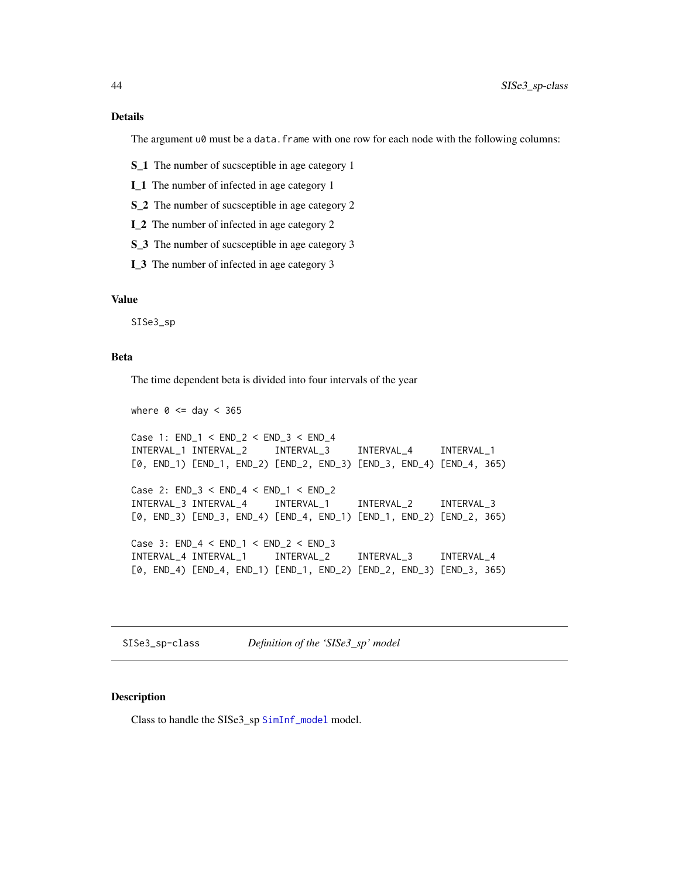# <span id="page-43-0"></span>Details

The argument  $u\theta$  must be a data. frame with one row for each node with the following columns:

- S\_1 The number of sucsceptible in age category 1
- I\_1 The number of infected in age category 1
- S\_2 The number of sucsceptible in age category 2
- I\_2 The number of infected in age category 2
- S\_3 The number of sucsceptible in age category 3
- I\_3 The number of infected in age category 3

# Value

SISe3\_sp

#### Beta

The time dependent beta is divided into four intervals of the year

```
where 0 \leq d day < 365Case 1: END_1 < END_2 < END_3 < END_4
INTERVAL_1 INTERVAL_2 INTERVAL_3 INTERVAL_4 INTERVAL_1
[0, END_1) [END_1, END_2) [END_2, END_3) [END_3, END_4) [END_4, 365)
Case 2: END_3 < END_4 < END_1 < END_2
INTERVAL_3 INTERVAL_4 INTERVAL_1 INTERVAL_2 INTERVAL_3
[0, END_3) [END_3, END_4) [END_4, END_1) [END_1, END_2) [END_2, 365)
Case 3: END_4 < END_1 < END_2 < END_3
INTERVAL_4 INTERVAL_1 INTERVAL_2 INTERVAL_3 INTERVAL_4
[0, END_4) [END_4, END_1) [END_1, END_2) [END_2, END_3) [END_3, 365)
```
SISe3\_sp-class *Definition of the 'SISe3\_sp' model*

#### Description

Class to handle the SISe3\_sp [SimInf\\_model](#page-33-1) model.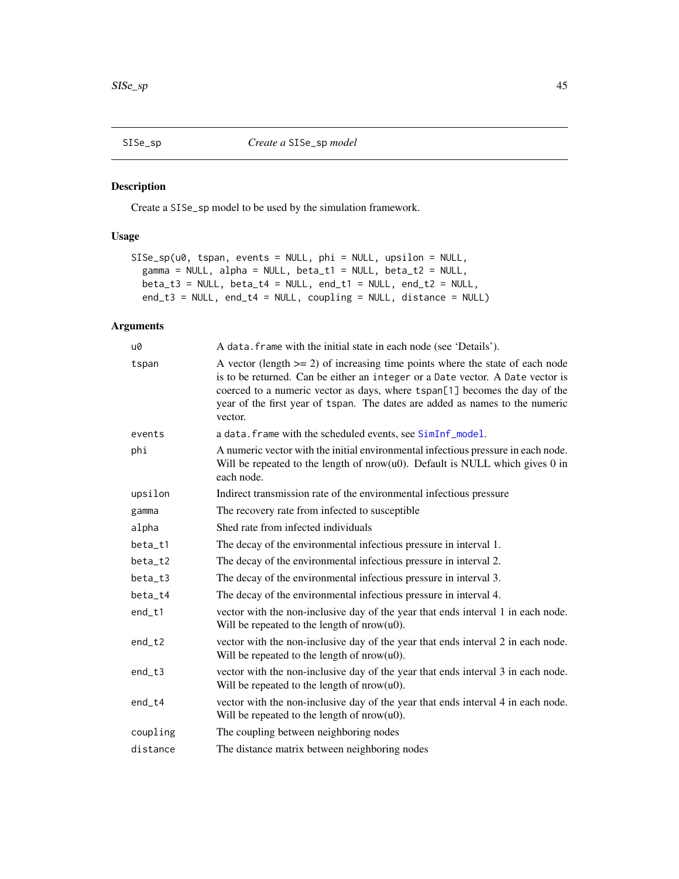<span id="page-44-0"></span>

# Description

Create a SISe\_sp model to be used by the simulation framework.

# Usage

```
SISe_sp(u0, tspan, events = NULL, phi = NULL, upsilon = NULL,
 gamma = NULL, alpha = NULL, beta_t1 = NULL, beta_t2 = NULL,
 beta_t3 = NULL, beta_t4 = NULL, end_t1 = NULL, end_t2 = NULL,
 end_t3 = NULL, end_t4 = NULL, coupling = NULL, distance = NULL)
```
# Arguments

| u0       | A data. frame with the initial state in each node (see 'Details').                                                                                                                                                                                                                                                                          |
|----------|---------------------------------------------------------------------------------------------------------------------------------------------------------------------------------------------------------------------------------------------------------------------------------------------------------------------------------------------|
| tspan    | A vector (length $>= 2$ ) of increasing time points where the state of each node<br>is to be returned. Can be either an integer or a Date vector. A Date vector is<br>coerced to a numeric vector as days, where tspan[1] becomes the day of the<br>year of the first year of tspan. The dates are added as names to the numeric<br>vector. |
| events   | a data. frame with the scheduled events, see SimInf_model.                                                                                                                                                                                                                                                                                  |
| phi      | A numeric vector with the initial environmental infectious pressure in each node.<br>Will be repeated to the length of $nrow(u0)$ . Default is NULL which gives 0 in<br>each node.                                                                                                                                                          |
| upsilon  | Indirect transmission rate of the environmental infectious pressure                                                                                                                                                                                                                                                                         |
| gamma    | The recovery rate from infected to susceptible                                                                                                                                                                                                                                                                                              |
| alpha    | Shed rate from infected individuals                                                                                                                                                                                                                                                                                                         |
| beta_t1  | The decay of the environmental infectious pressure in interval 1.                                                                                                                                                                                                                                                                           |
| beta_t2  | The decay of the environmental infectious pressure in interval 2.                                                                                                                                                                                                                                                                           |
| beta_t3  | The decay of the environmental infectious pressure in interval 3.                                                                                                                                                                                                                                                                           |
| beta_t4  | The decay of the environmental infectious pressure in interval 4.                                                                                                                                                                                                                                                                           |
| $end_t1$ | vector with the non-inclusive day of the year that ends interval 1 in each node.<br>Will be repeated to the length of $nrow(u0)$ .                                                                                                                                                                                                          |
| $end_t2$ | vector with the non-inclusive day of the year that ends interval 2 in each node.<br>Will be repeated to the length of $nrow(u0)$ .                                                                                                                                                                                                          |
| $end_t3$ | vector with the non-inclusive day of the year that ends interval 3 in each node.<br>Will be repeated to the length of $nrow(u0)$ .                                                                                                                                                                                                          |
| $end_t4$ | vector with the non-inclusive day of the year that ends interval 4 in each node.<br>Will be repeated to the length of $nrow(u0)$ .                                                                                                                                                                                                          |
| coupling | The coupling between neighboring nodes                                                                                                                                                                                                                                                                                                      |
| distance | The distance matrix between neighboring nodes                                                                                                                                                                                                                                                                                               |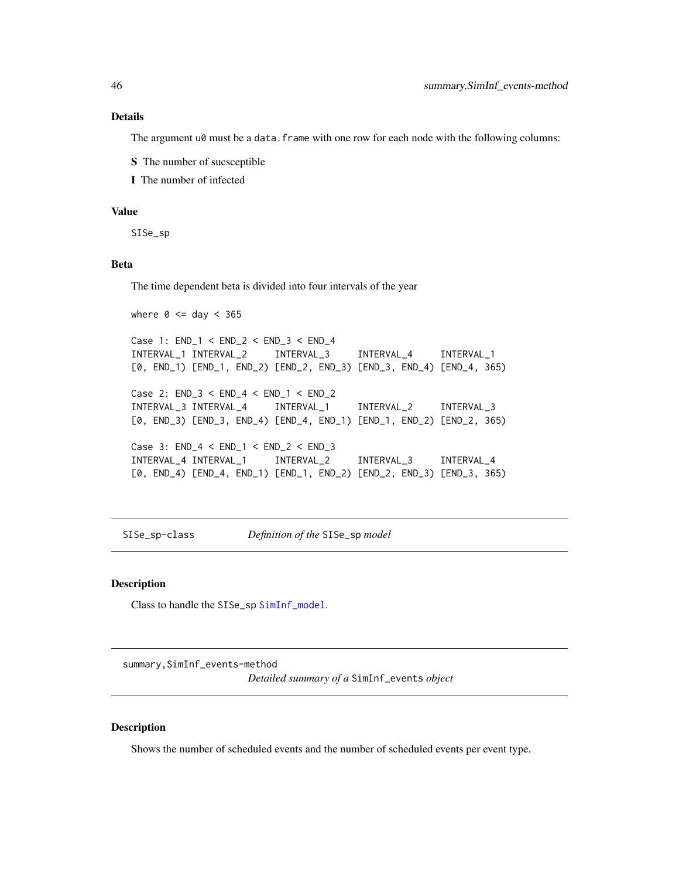#### Details

The argument  $u\theta$  must be a data. frame with one row for each node with the following columns:

S The number of sucsceptible

I The number of infected

# Value

SISe\_sp

# Beta

The time dependent beta is divided into four intervals of the year

```
where 0 \leq 1 day < 365Case 1: END_1 < END_2 < END_3 < END_4
INTERVAL_1 INTERVAL_2 INTERVAL_3 INTERVAL_4 INTERVAL_1
[0, END_1) [END_1, END_2) [END_2, END_3) [END_3, END_4) [END_4, 365)
Case 2: END_3 < END_4 < END_1 < END_2
INTERVAL_3 INTERVAL_4 INTERVAL_1 INTERVAL_2 INTERVAL_3
[0, END_3) [END_3, END_4) [END_4, END_1) [END_1, END_2) [END_2, 365)
Case 3: END_4 < END_1 < END_2 < END_3
INTERVAL_4 INTERVAL_1 INTERVAL_2 INTERVAL_3 INTERVAL_4
[0, END_4) [END_4, END_1) [END_1, END_2) [END_2, END_3) [END_3, 365)
```
SISe\_sp-class *Definition of the* SISe\_sp *model*

# Description

Class to handle the SISe\_sp [SimInf\\_model](#page-33-1).

summary,SimInf\_events-method

*Detailed summary of a* SimInf\_events *object*

# Description

Shows the number of scheduled events and the number of scheduled events per event type.

<span id="page-45-0"></span>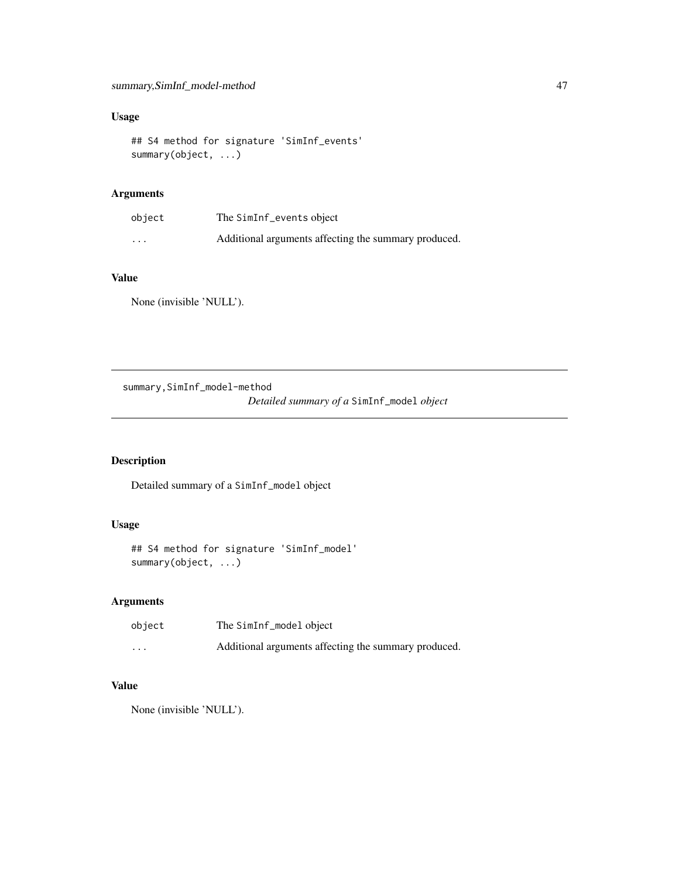# <span id="page-46-0"></span>Usage

```
## S4 method for signature 'SimInf_events'
summary(object, ...)
```
# Arguments

| object   | The SimInf_events object                             |
|----------|------------------------------------------------------|
| $\cdots$ | Additional arguments affecting the summary produced. |

# Value

None (invisible 'NULL').

summary,SimInf\_model-method *Detailed summary of a* SimInf\_model *object*

# Description

Detailed summary of a SimInf\_model object

# Usage

```
## S4 method for signature 'SimInf_model'
summary(object, ...)
```
# Arguments

| object   | The SimInf_model object                              |
|----------|------------------------------------------------------|
| $\cdots$ | Additional arguments affecting the summary produced. |

# Value

None (invisible 'NULL').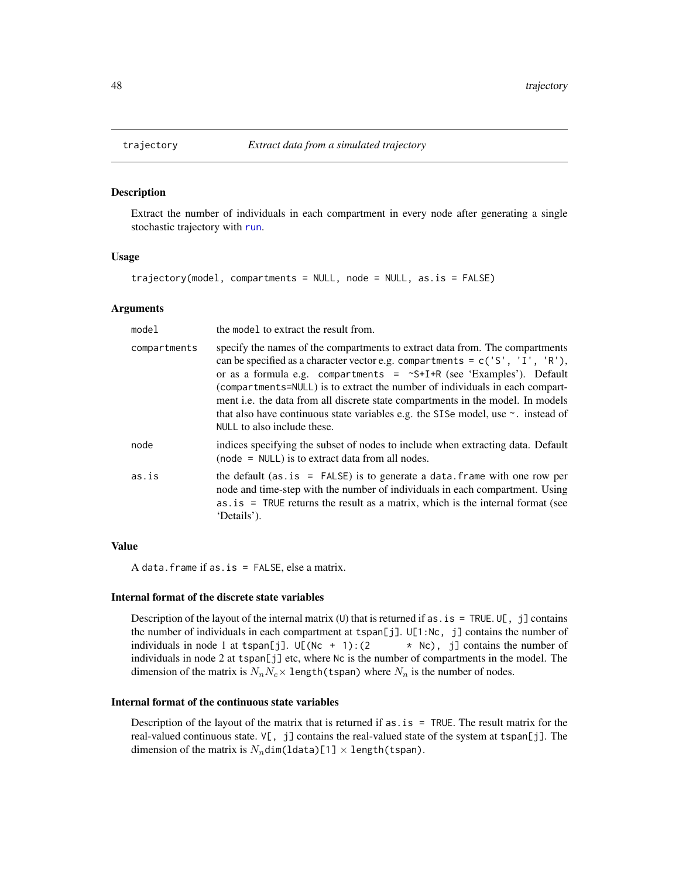<span id="page-47-1"></span><span id="page-47-0"></span>

#### Description

Extract the number of individuals in each compartment in every node after generating a single stochastic trajectory with [run](#page-22-1).

# Usage

```
trajectory(model, compartments = NULL, node = NULL, as.is = FALSE)
```
#### Arguments

| model        | the model to extract the result from.                                                                                                                                                                                                                                                                                                                                                                                                                                                                                                    |
|--------------|------------------------------------------------------------------------------------------------------------------------------------------------------------------------------------------------------------------------------------------------------------------------------------------------------------------------------------------------------------------------------------------------------------------------------------------------------------------------------------------------------------------------------------------|
| compartments | specify the names of the compartments to extract data from. The compartments<br>can be specified as a character vector e.g. compartments = $c('S', 'I', 'R'),$<br>or as a formula e.g. compartments = $\sim$ S+I+R (see 'Examples'). Default<br>(compartments=NULL) is to extract the number of individuals in each compart-<br>ment i.e. the data from all discrete state compartments in the model. In models<br>that also have continuous state variables e.g. the SISe model, use $\sim$ . instead of<br>NULL to also include these. |
| node         | indices specifying the subset of nodes to include when extracting data. Default<br>$(node = NULL)$ is to extract data from all nodes.                                                                                                                                                                                                                                                                                                                                                                                                    |
| as.is        | the default (as. is $=$ FALSE) is to generate a data. frame with one row per<br>node and time-step with the number of individuals in each compartment. Using<br>$as.is = TRUE$ returns the result as a matrix, which is the internal format (see<br>'Details').                                                                                                                                                                                                                                                                          |
|              |                                                                                                                                                                                                                                                                                                                                                                                                                                                                                                                                          |

# Value

A data.frame if as.is = FALSE, else a matrix.

#### Internal format of the discrete state variables

Description of the layout of the internal matrix (U) that is returned if as. is = TRUE. U[, j] contains the number of individuals in each compartment at tspan[j]. U[1:Nc, j] contains the number of individuals in node 1 at tspan[j].  $U[(Nc + 1):(2 \times Nc), j]$  contains the number of individuals in node 2 at tspan[j] etc, where Nc is the number of compartments in the model. The dimension of the matrix is  $N_nN_c\times 1$  ength(tspan) where  $N_n$  is the number of nodes.

## Internal format of the continuous state variables

Description of the layout of the matrix that is returned if  $as.is = TRUE$ . The result matrix for the real-valued continuous state. V[, j] contains the real-valued state of the system at tspan[j]. The dimension of the matrix is  $N_n$ dim(ldata)[1]  $\times$  length(tspan).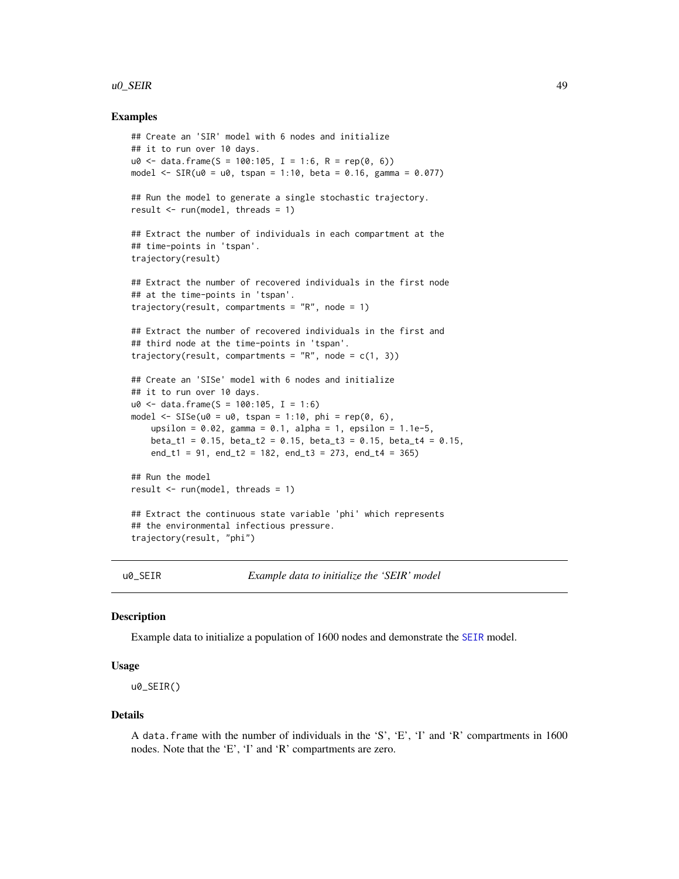#### <span id="page-48-0"></span> $\mu$ 0\_SEIR 49

# Examples

```
## Create an 'SIR' model with 6 nodes and initialize
## it to run over 10 days.
u0 \le - data.frame(S = 100:105, I = 1:6, R = rep(0, 6))
model \leq SIR(u0 = u0, tspan = 1:10, beta = 0.16, gamma = 0.077)
## Run the model to generate a single stochastic trajectory.
result \leq run(model, threads = 1)
## Extract the number of individuals in each compartment at the
## time-points in 'tspan'.
trajectory(result)
## Extract the number of recovered individuals in the first node
## at the time-points in 'tspan'.
trajectory(result, compartments = "R", node = 1)
## Extract the number of recovered individuals in the first and
## third node at the time-points in 'tspan'.
trajectory(result, compartments = "R", node = c(1, 3))
## Create an 'SISe' model with 6 nodes and initialize
## it to run over 10 days.
u0 \le - data.frame(S = 100:105, I = 1:6)
model \leq SISe(u0 = u0, tspan = 1:10, phi = rep(0, 6),
    upsilon = 0.02, gamma = 0.1, alpha = 1, epsilon = 1.1e-5,
    beta_t1 = 0.15, beta_t2 = 0.15, beta_t3 = 0.15, beta_t4 = 0.15,
    end_t1 = 91, end_t2 = 182, end_t3 = 273, end_t4 = 365)
## Run the model
result \le run(model, threads = 1)
## Extract the continuous state variable 'phi' which represents
## the environmental infectious pressure.
trajectory(result, "phi")
```
u0\_SEIR *Example data to initialize the 'SEIR' model*

# Description

Example data to initialize a population of 1600 nodes and demonstrate the [SEIR](#page-26-1) model.

# Usage

u0\_SEIR()

#### Details

A data.frame with the number of individuals in the 'S', 'E', 'I' and 'R' compartments in 1600 nodes. Note that the 'E', 'I' and 'R' compartments are zero.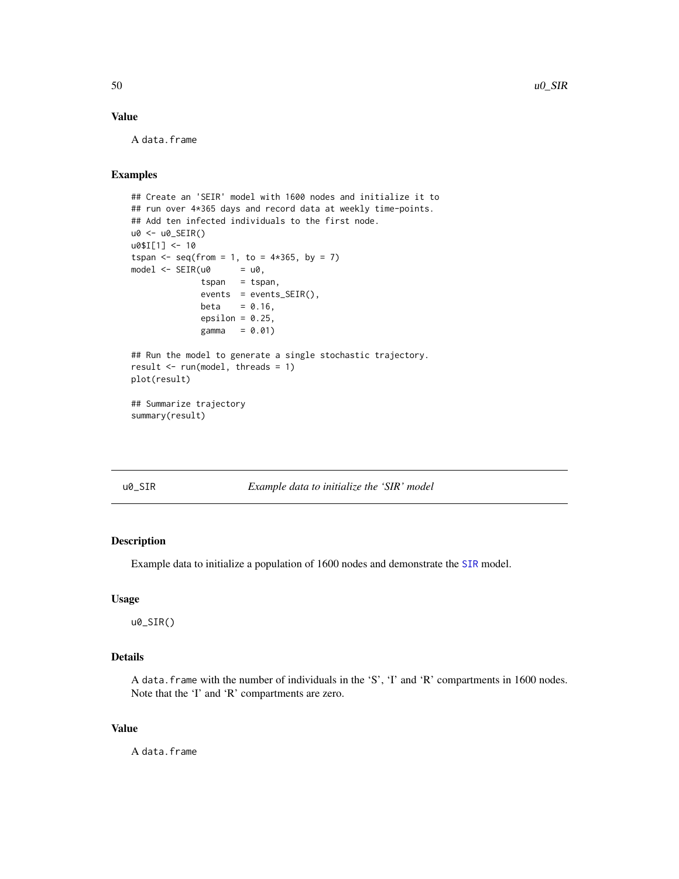# <span id="page-49-0"></span>Value

A data.frame

# Examples

```
## Create an 'SEIR' model with 1600 nodes and initialize it to
## run over 4*365 days and record data at weekly time-points.
## Add ten infected individuals to the first node.
u0 <- u0_SEIR()
u0$I[1] <- 10
tspan \leq - seq(from = 1, to = 4 \star365, by = 7)
model \leq SEIR(u0 = u0,
              tspan = tspan,
              events = events_SEIR(),
              beta = 0.16,
              epsilon = 0.25,
              gamma = 0.01)
## Run the model to generate a single stochastic trajectory.
result \leq run(model, threads = 1)
plot(result)
## Summarize trajectory
summary(result)
```
u0\_SIR *Example data to initialize the 'SIR' model*

# Description

Example data to initialize a population of 1600 nodes and demonstrate the [SIR](#page-37-1) model.

#### Usage

u0\_SIR()

# Details

A data.frame with the number of individuals in the 'S', 'I' and 'R' compartments in 1600 nodes. Note that the 'I' and 'R' compartments are zero.

# Value

A data.frame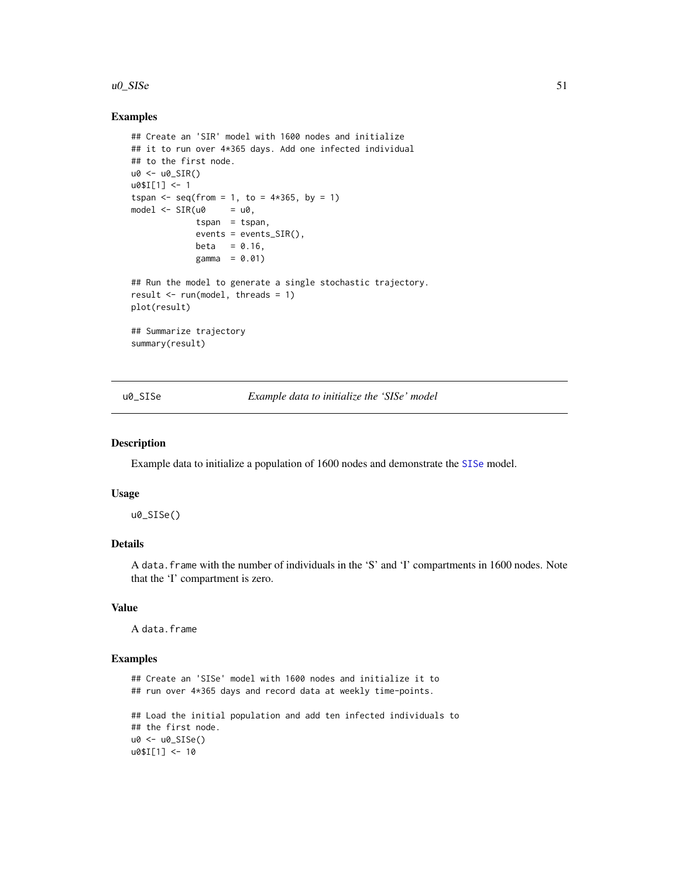#### <span id="page-50-0"></span> $\mu$ 0\_SISe 51

# Examples

```
## Create an 'SIR' model with 1600 nodes and initialize
## it to run over 4*365 days. Add one infected individual
## to the first node.
u0 < -u0 SIR()
u0$I[1] <- 1
tspan <- seq(from = 1, to = 4*365, by = 1)model \leq SIR(u0 = u0,
             tspan = tspan,
             events = events_SIR(),
             beta = 0.16,
             gamma = 0.01## Run the model to generate a single stochastic trajectory.
result \leq run(model, threads = 1)
plot(result)
## Summarize trajectory
summary(result)
```
u0\_SISe *Example data to initialize the 'SISe' model*

# Description

Example data to initialize a population of 1600 nodes and demonstrate the [SISe](#page-39-1) model.

# Usage

u0\_SISe()

# Details

A data.frame with the number of individuals in the 'S' and 'I' compartments in 1600 nodes. Note that the 'I' compartment is zero.

#### Value

A data.frame

```
## Create an 'SISe' model with 1600 nodes and initialize it to
## run over 4*365 days and record data at weekly time-points.
## Load the initial population and add ten infected individuals to
## the first node.
u0 <- u0_SISe()
u0$I[1] <- 10
```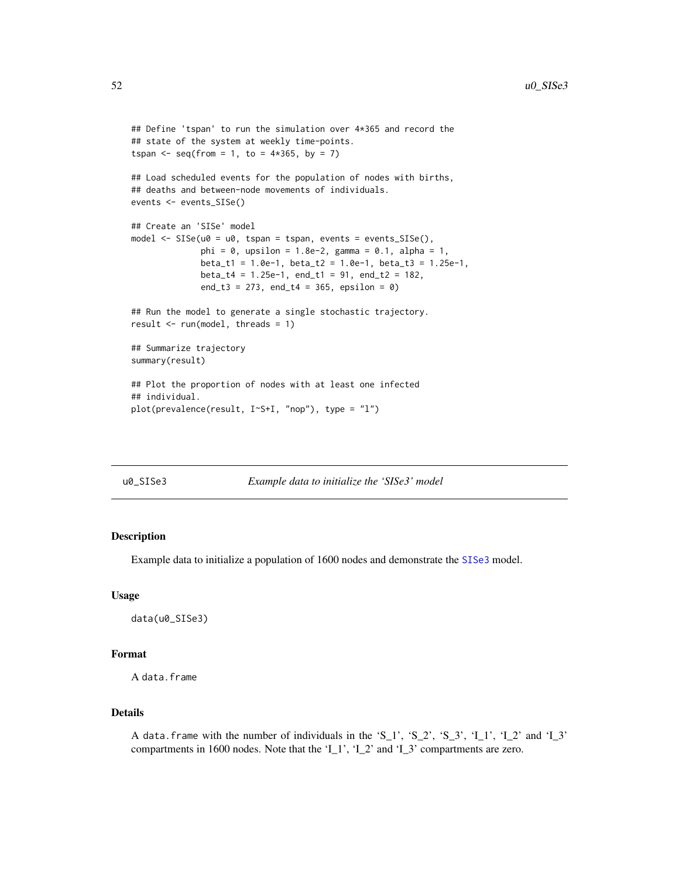```
## Define 'tspan' to run the simulation over 4*365 and record the
## state of the system at weekly time-points.
tspan \leq - seq(from = 1, to = 4 \star365, by = 7)
## Load scheduled events for the population of nodes with births,
## deaths and between-node movements of individuals.
events <- events_SISe()
## Create an 'SISe' model
model <- SISe(u0 = u0, tspan = tspan, events = events_SISe(),
              phi = 0, upsilon = 1.8e-2, gamma = 0.1, alpha = 1,
              beta_t1 = 1.0e-1, beta_t2 = 1.0e-1, beta_t3 = 1.25e-1,
              beta_t4 = 1.25e-1, end_t1 = 91, end_t2 = 182,
              end_t3 = 273, end_t4 = 365, epsilon = 0)
## Run the model to generate a single stochastic trajectory.
result \le run(model, threads = 1)
## Summarize trajectory
summary(result)
## Plot the proportion of nodes with at least one infected
## individual.
plot(prevalence(result, I~S+I, "nop"), type = "l")
```

| u0 SISe3 |  |
|----------|--|
|          |  |

# Example data to initialize the 'SISe3' model

# Description

Example data to initialize a population of 1600 nodes and demonstrate the [SISe3](#page-41-1) model.

#### Usage

```
data(u0_SISe3)
```
# Format

A data.frame

# Details

A data.frame with the number of individuals in the 'S\_1', 'S\_2', 'S\_3', 'I\_1', 'I\_2' and 'I\_3' compartments in 1600 nodes. Note that the 'I\_1', 'I\_2' and 'I\_3' compartments are zero.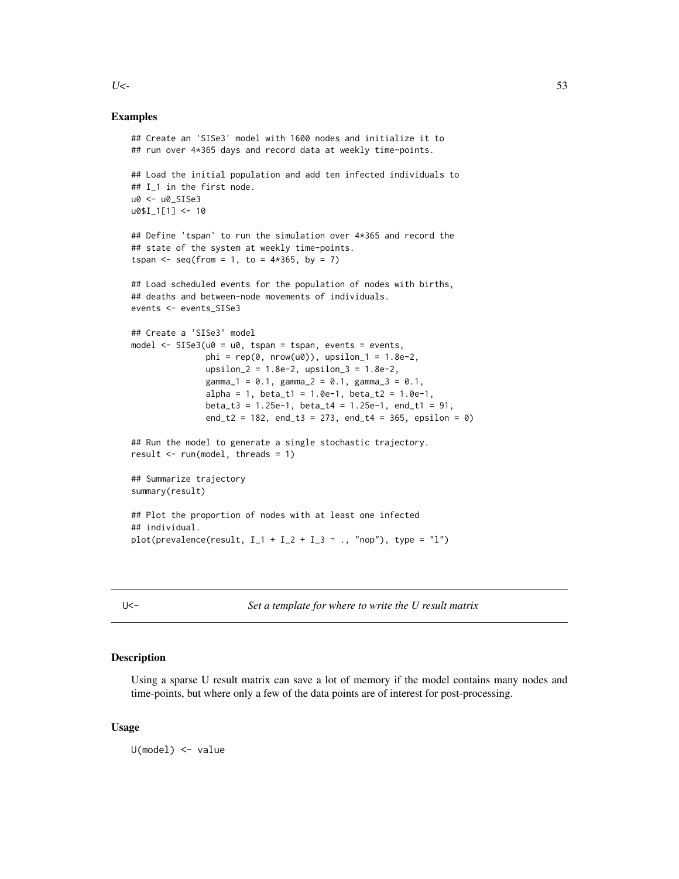Examples

```
## Create an 'SISe3' model with 1600 nodes and initialize it to
## run over 4*365 days and record data at weekly time-points.
## Load the initial population and add ten infected individuals to
## I_1 in the first node.
u0 <- u0_SISe3
u0$I_1[1] <- 10
## Define 'tspan' to run the simulation over 4*365 and record the
## state of the system at weekly time-points.
tspan <- seq(from = 1, to = 4*365, by = 7)## Load scheduled events for the population of nodes with births,
## deaths and between-node movements of individuals.
events <- events_SISe3
## Create a 'SISe3' model
model <- SISe3(u0 = u0, tspan = tspan, events = events,
               phi = rep(0, nrow(u0)), upsilon_1 = 1.8e-2,upsilon_2 = 1.8e-2, upsilon_3 = 1.8e-2,
               gamma_1 = 0.1, gamma_2 = 0.1, gamma_3 = 0.1,
               alpha = 1, beta_t1 = 1.0e-1, beta_t2 = 1.0e-1,
               beta_t3 = 1.25e-1, beta_t4 = 1.25e-1, end_t1 = 91,
               end_t2 = 182, end_t3 = 273, end_t4 = 365, epsilon = 0)
## Run the model to generate a single stochastic trajectory.
result \leq run(model, threads = 1)
## Summarize trajectory
summary(result)
## Plot the proportion of nodes with at least one infected
## individual.
plot(prevalence(result, I_1 + I_2 + I_3 ~ ., "nop"), type = "l")
```
U<- *Set a template for where to write the U result matrix*

#### Description

Using a sparse U result matrix can save a lot of memory if the model contains many nodes and time-points, but where only a few of the data points are of interest for post-processing.

#### Usage

U(model) <- value

<span id="page-52-0"></span> $U$  <- $\sim$  53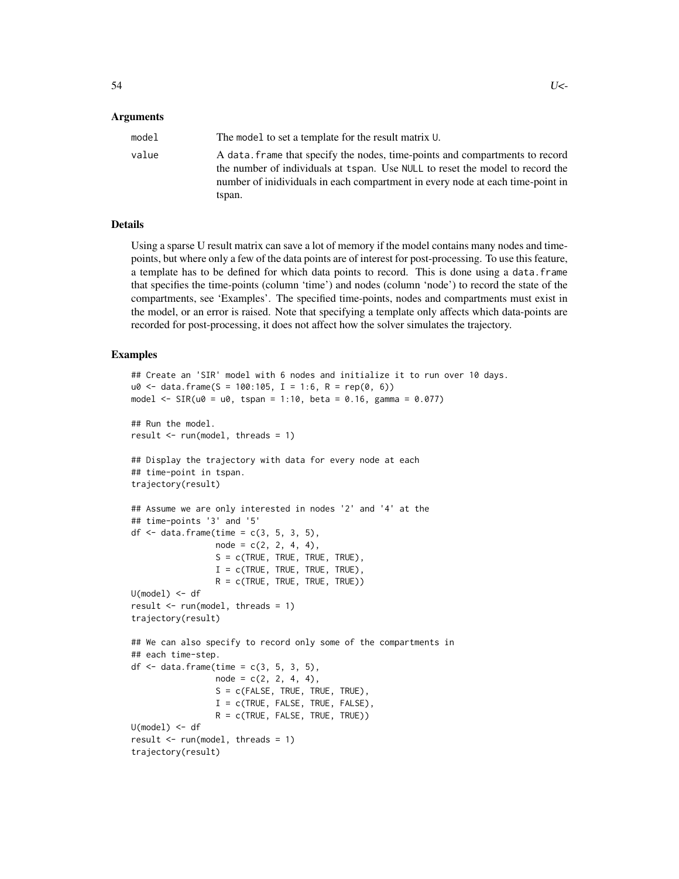# Arguments

| model | The model to set a template for the result matrix U.                                                                                                                                                                                                      |
|-------|-----------------------------------------------------------------------------------------------------------------------------------------------------------------------------------------------------------------------------------------------------------|
| value | A data. frame that specify the nodes, time-points and compartments to record<br>the number of individuals at tspan. Use NULL to reset the model to record the<br>number of inidividuals in each compartment in every node at each time-point in<br>tspan. |

# Details

Using a sparse U result matrix can save a lot of memory if the model contains many nodes and timepoints, but where only a few of the data points are of interest for post-processing. To use this feature, a template has to be defined for which data points to record. This is done using a data.frame that specifies the time-points (column 'time') and nodes (column 'node') to record the state of the compartments, see 'Examples'. The specified time-points, nodes and compartments must exist in the model, or an error is raised. Note that specifying a template only affects which data-points are recorded for post-processing, it does not affect how the solver simulates the trajectory.

```
## Create an 'SIR' model with 6 nodes and initialize it to run over 10 days.
u0 <- data.frame(S = 100:105, I = 1:6, R = rep(0, 6))
model \leq SIR(u0 = u0, tspan = 1:10, beta = 0.16, gamma = 0.077)
## Run the model.
result \leq run(model, threads = 1)
## Display the trajectory with data for every node at each
## time-point in tspan.
trajectory(result)
## Assume we are only interested in nodes '2' and '4' at the
## time-points '3' and '5'
df \leq data.frame(time = c(3, 5, 3, 5),
                 node = c(2, 2, 4, 4),S = c(TRUE, TRUE, TRUE, TRUE),
                 I = c(TRUE, TRUE, TRUE, TRUE),
                 R = c(TRUE, TRUE, TRUE, TRUE)U(model) < - dfresult \leq run(model, threads = 1)
trajectory(result)
## We can also specify to record only some of the compartments in
## each time-step.
df \le data.frame(time = c(3, 5, 3, 5),
                 node = c(2, 2, 4, 4),S = c(FALSE, TRUE, TRUE, TRUE),I = c(TRUE, FALSE, TRUE, FALSE),R = c(TRUE, FALSE, TRUE, TRUE)U(model) < - dfresult \leq run(model, threads = 1)
trajectory(result)
```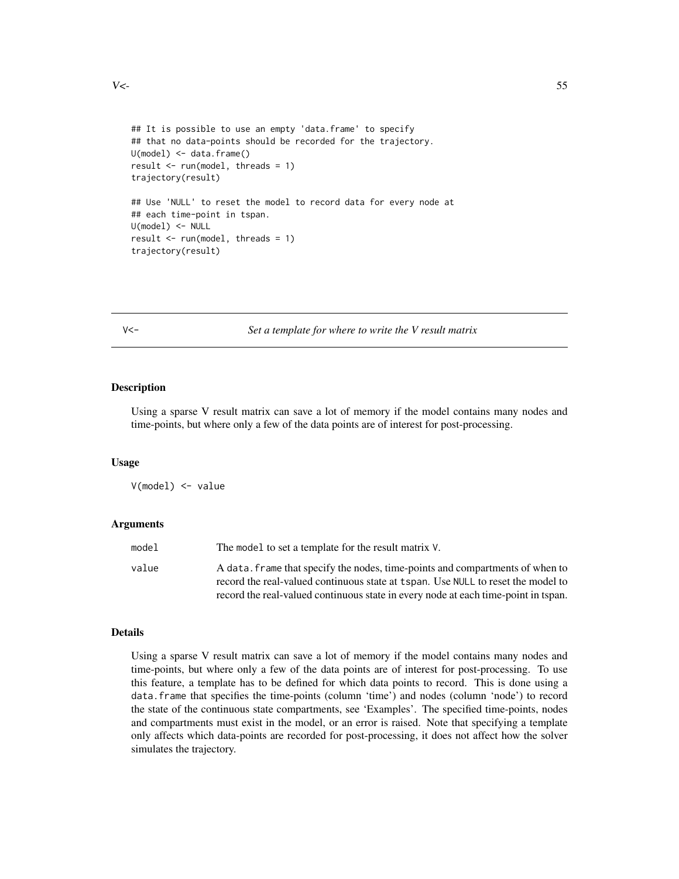```
## It is possible to use an empty 'data.frame' to specify
## that no data-points should be recorded for the trajectory.
U(model) <- data.frame()
result \le run(model, threads = 1)
trajectory(result)
## Use 'NULL' to reset the model to record data for every node at
## each time-point in tspan.
U(model) <- NULL
result <- run(model, threads = 1)
trajectory(result)
```
V<- *Set a template for where to write the V result matrix*

# Description

Using a sparse V result matrix can save a lot of memory if the model contains many nodes and time-points, but where only a few of the data points are of interest for post-processing.

#### Usage

V(model) <- value

## Arguments

| model | The model to set a template for the result matrix V.                                                                                                              |
|-------|-------------------------------------------------------------------------------------------------------------------------------------------------------------------|
| value | A data. frame that specify the nodes, time-points and compartments of when to<br>record the real-valued continuous state at tspan. Use NULL to reset the model to |
|       | record the real-valued continuous state in every node at each time-point in tspan.                                                                                |

#### Details

Using a sparse V result matrix can save a lot of memory if the model contains many nodes and time-points, but where only a few of the data points are of interest for post-processing. To use this feature, a template has to be defined for which data points to record. This is done using a data.frame that specifies the time-points (column 'time') and nodes (column 'node') to record the state of the continuous state compartments, see 'Examples'. The specified time-points, nodes and compartments must exist in the model, or an error is raised. Note that specifying a template only affects which data-points are recorded for post-processing, it does not affect how the solver simulates the trajectory.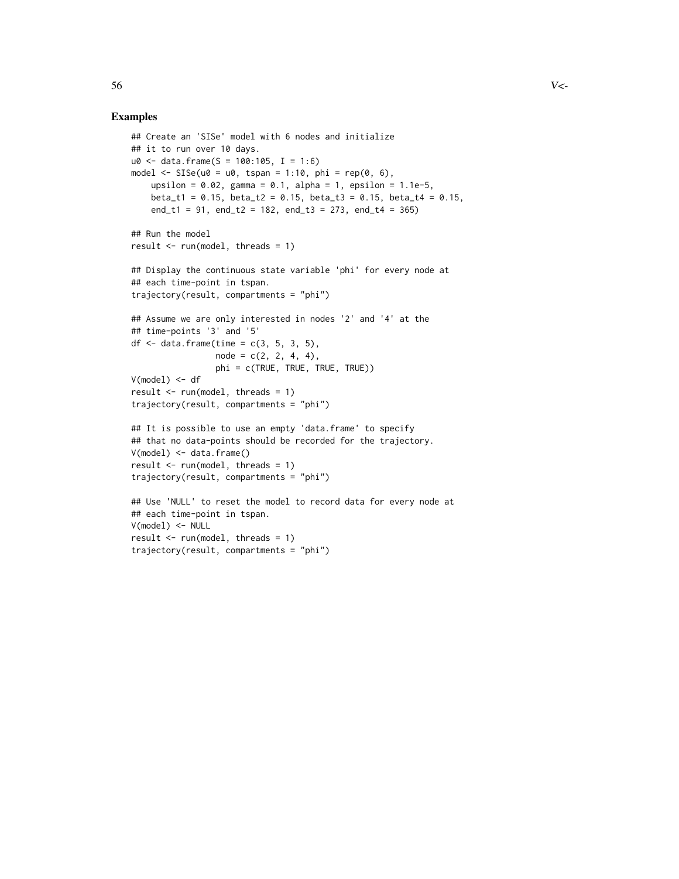```
## Create an 'SISe' model with 6 nodes and initialize
## it to run over 10 days.
u0 \le - data.frame(S = 100:105, I = 1:6)
model \leq SISe(u0 = u0, tspan = 1:10, phi = rep(0, 6),
    upsilon = 0.02, gamma = 0.1, alpha = 1, epsilon = 1.1e-5,
   beta_t1 = 0.15, beta_t2 = 0.15, beta_t3 = 0.15, beta_t4 = 0.15,
    end_t1 = 91, end_t2 = 182, end_t3 = 273, end_t4 = 365)
## Run the model
result \leq run(model, threads = 1)
## Display the continuous state variable 'phi' for every node at
## each time-point in tspan.
trajectory(result, compartments = "phi")
## Assume we are only interested in nodes '2' and '4' at the
## time-points '3' and '5'
df \le data.frame(time = c(3, 5, 3, 5),
                 node = c(2, 2, 4, 4),phi = c(TRUE, TRUE, TRUE, TRUE))
V(model) < - dfresult \leq run(model, threads = 1)
trajectory(result, compartments = "phi")
## It is possible to use an empty 'data.frame' to specify
## that no data-points should be recorded for the trajectory.
V(model) < - data.frame()
result \leq run(model, threads = 1)
trajectory(result, compartments = "phi")
## Use 'NULL' to reset the model to record data for every node at
## each time-point in tspan.
V(model) <- NULL
result \leq run(model, threads = 1)
trajectory(result, compartments = "phi")
```